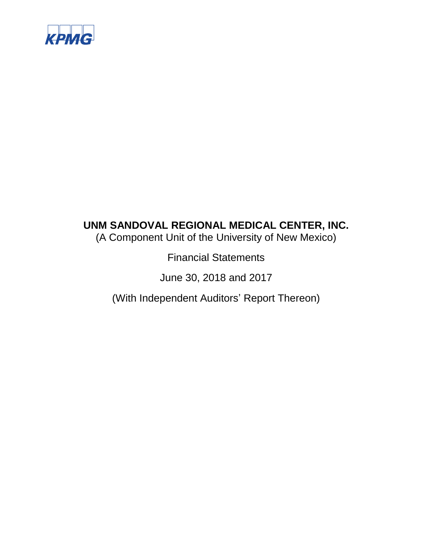

(A Component Unit of the University of New Mexico)

Financial Statements

June 30, 2018 and 2017

(With Independent Auditors' Report Thereon)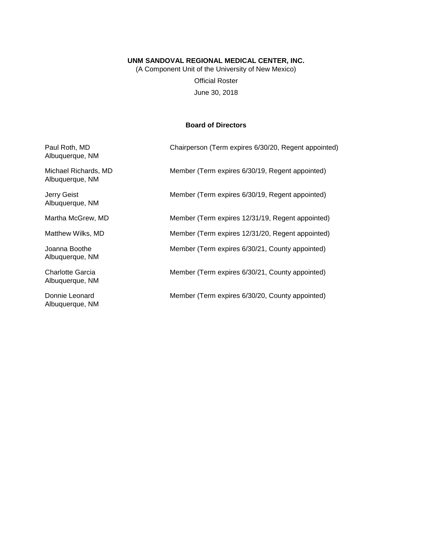(A Component Unit of the University of New Mexico)

Official Roster June 30, 2018

# **Board of Directors**

| Paul Roth, MD<br>Albuquerque, NM        | Chairperson (Term expires 6/30/20, Regent appointed) |
|-----------------------------------------|------------------------------------------------------|
| Michael Richards, MD<br>Albuquerque, NM | Member (Term expires 6/30/19, Regent appointed)      |
| Jerry Geist<br>Albuquerque, NM          | Member (Term expires 6/30/19, Regent appointed)      |
| Martha McGrew, MD                       | Member (Term expires 12/31/19, Regent appointed)     |
| Matthew Wilks, MD                       | Member (Term expires 12/31/20, Regent appointed)     |
| Joanna Boothe<br>Albuquerque, NM        | Member (Term expires 6/30/21, County appointed)      |
| Charlotte Garcia<br>Albuquerque, NM     | Member (Term expires 6/30/21, County appointed)      |
| Donnie Leonard<br>Albuquerque, NM       | Member (Term expires 6/30/20, County appointed)      |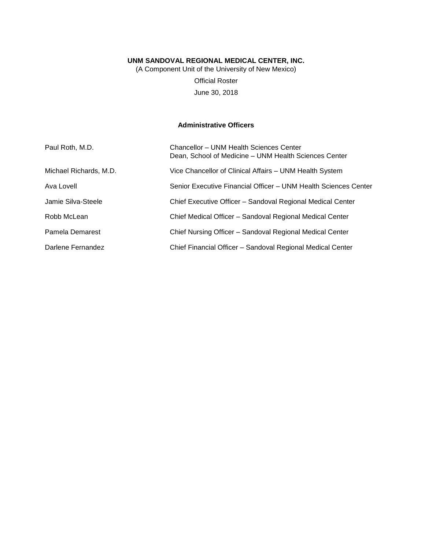(A Component Unit of the University of New Mexico)

Official Roster June 30, 2018

## **Administrative Officers**

| Paul Roth, M.D.        | Chancellor - UNM Health Sciences Center<br>Dean, School of Medicine – UNM Health Sciences Center |
|------------------------|--------------------------------------------------------------------------------------------------|
| Michael Richards, M.D. | Vice Chancellor of Clinical Affairs - UNM Health System                                          |
| Ava Lovell             | Senior Executive Financial Officer – UNM Health Sciences Center                                  |
| Jamie Silva-Steele     | Chief Executive Officer - Sandoval Regional Medical Center                                       |
| Robb McLean            | Chief Medical Officer - Sandoval Regional Medical Center                                         |
| Pamela Demarest        | Chief Nursing Officer - Sandoval Regional Medical Center                                         |
| Darlene Fernandez      | Chief Financial Officer - Sandoval Regional Medical Center                                       |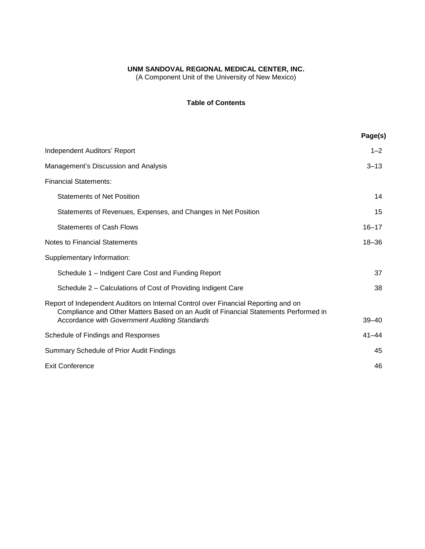(A Component Unit of the University of New Mexico)

# **Table of Contents**

|                                                                                                                                                                           | Page(s)   |
|---------------------------------------------------------------------------------------------------------------------------------------------------------------------------|-----------|
| Independent Auditors' Report                                                                                                                                              | $1 - 2$   |
| Management's Discussion and Analysis                                                                                                                                      | $3 - 13$  |
| <b>Financial Statements:</b>                                                                                                                                              |           |
| <b>Statements of Net Position</b>                                                                                                                                         | 14        |
| Statements of Revenues, Expenses, and Changes in Net Position                                                                                                             | 15        |
| <b>Statements of Cash Flows</b>                                                                                                                                           | $16 - 17$ |
| Notes to Financial Statements                                                                                                                                             | $18 - 36$ |
| Supplementary Information:                                                                                                                                                |           |
| Schedule 1 - Indigent Care Cost and Funding Report                                                                                                                        | 37        |
| Schedule 2 – Calculations of Cost of Providing Indigent Care                                                                                                              | 38        |
| Report of Independent Auditors on Internal Control over Financial Reporting and on<br>Compliance and Other Matters Based on an Audit of Financial Statements Performed in |           |
| Accordance with Government Auditing Standards                                                                                                                             | $39 - 40$ |
| Schedule of Findings and Responses                                                                                                                                        | $41 - 44$ |
| Summary Schedule of Prior Audit Findings                                                                                                                                  | 45        |
| Exit Conference                                                                                                                                                           | 46        |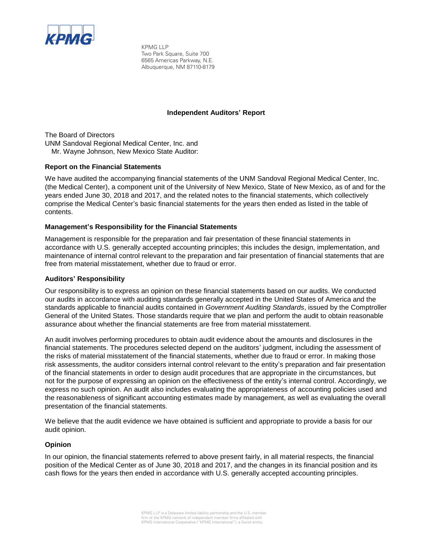

KPMG LLP Two Park Square, Suite 700 6565 Americas Parkway, N.E. Albuquerque, NM 87110-8179

# **Independent Auditors' Report**

The Board of Directors UNM Sandoval Regional Medical Center, Inc. and Mr. Wayne Johnson, New Mexico State Auditor:

# **Report on the Financial Statements**

We have audited the accompanying financial statements of the UNM Sandoval Regional Medical Center, Inc. (the Medical Center), a component unit of the University of New Mexico, State of New Mexico, as of and for the years ended June 30, 2018 and 2017, and the related notes to the financial statements, which collectively comprise the Medical Center's basic financial statements for the years then ended as listed in the table of contents.

# **Management's Responsibility for the Financial Statements**

Management is responsible for the preparation and fair presentation of these financial statements in accordance with U.S. generally accepted accounting principles; this includes the design, implementation, and maintenance of internal control relevant to the preparation and fair presentation of financial statements that are free from material misstatement, whether due to fraud or error.

# **Auditors' Responsibility**

Our responsibility is to express an opinion on these financial statements based on our audits. We conducted our audits in accordance with auditing standards generally accepted in the United States of America and the standards applicable to financial audits contained in *Government Auditing Standards*, issued by the Comptroller General of the United States. Those standards require that we plan and perform the audit to obtain reasonable assurance about whether the financial statements are free from material misstatement.

An audit involves performing procedures to obtain audit evidence about the amounts and disclosures in the financial statements. The procedures selected depend on the auditors' judgment, including the assessment of the risks of material misstatement of the financial statements, whether due to fraud or error. In making those risk assessments, the auditor considers internal control relevant to the entity's preparation and fair presentation of the financial statements in order to design audit procedures that are appropriate in the circumstances, but not for the purpose of expressing an opinion on the effectiveness of the entity's internal control. Accordingly, we express no such opinion. An audit also includes evaluating the appropriateness of accounting policies used and the reasonableness of significant accounting estimates made by management, as well as evaluating the overall presentation of the financial statements.

We believe that the audit evidence we have obtained is sufficient and appropriate to provide a basis for our audit opinion.

#### **Opinion**

In our opinion, the financial statements referred to above present fairly, in all material respects, the financial position of the Medical Center as of June 30, 2018 and 2017, and the changes in its financial position and its cash flows for the years then ended in accordance with U.S. generally accepted accounting principles.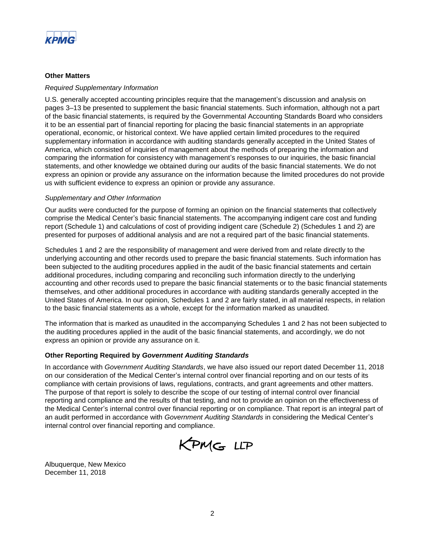

# **Other Matters**

#### *Required Supplementary Information*

U.S. generally accepted accounting principles require that the management's discussion and analysis on pages 3–13 be presented to supplement the basic financial statements. Such information, although not a part of the basic financial statements, is required by the Governmental Accounting Standards Board who considers it to be an essential part of financial reporting for placing the basic financial statements in an appropriate operational, economic, or historical context. We have applied certain limited procedures to the required supplementary information in accordance with auditing standards generally accepted in the United States of America, which consisted of inquiries of management about the methods of preparing the information and comparing the information for consistency with management's responses to our inquiries, the basic financial statements, and other knowledge we obtained during our audits of the basic financial statements. We do not express an opinion or provide any assurance on the information because the limited procedures do not provide us with sufficient evidence to express an opinion or provide any assurance.

#### *Supplementary and Other Information*

Our audits were conducted for the purpose of forming an opinion on the financial statements that collectively comprise the Medical Center's basic financial statements. The accompanying indigent care cost and funding report (Schedule 1) and calculations of cost of providing indigent care (Schedule 2) (Schedules 1 and 2) are presented for purposes of additional analysis and are not a required part of the basic financial statements.

Schedules 1 and 2 are the responsibility of management and were derived from and relate directly to the underlying accounting and other records used to prepare the basic financial statements. Such information has been subjected to the auditing procedures applied in the audit of the basic financial statements and certain additional procedures, including comparing and reconciling such information directly to the underlying accounting and other records used to prepare the basic financial statements or to the basic financial statements themselves, and other additional procedures in accordance with auditing standards generally accepted in the United States of America. In our opinion, Schedules 1 and 2 are fairly stated, in all material respects, in relation to the basic financial statements as a whole, except for the information marked as unaudited.

The information that is marked as unaudited in the accompanying Schedules 1 and 2 has not been subjected to the auditing procedures applied in the audit of the basic financial statements, and accordingly, we do not express an opinion or provide any assurance on it.

#### **Other Reporting Required by** *Government Auditing Standards*

In accordance with *Government Auditing Standards*, we have also issued our report dated December 11, 2018 on our consideration of the Medical Center's internal control over financial reporting and on our tests of its compliance with certain provisions of laws, regulations, contracts, and grant agreements and other matters. The purpose of that report is solely to describe the scope of our testing of internal control over financial reporting and compliance and the results of that testing, and not to provide an opinion on the effectiveness of the Medical Center's internal control over financial reporting or on compliance. That report is an integral part of an audit performed in accordance with *Government Auditing Standards* in considering the Medical Center's internal control over financial reporting and compliance.



Albuquerque, New Mexico December 11, 2018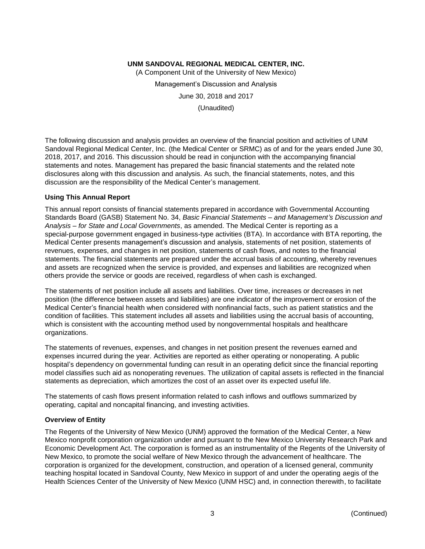(A Component Unit of the University of New Mexico)

Management's Discussion and Analysis June 30, 2018 and 2017 (Unaudited)

The following discussion and analysis provides an overview of the financial position and activities of UNM Sandoval Regional Medical Center, Inc. (the Medical Center or SRMC) as of and for the years ended June 30, 2018, 2017, and 2016. This discussion should be read in conjunction with the accompanying financial statements and notes. Management has prepared the basic financial statements and the related note disclosures along with this discussion and analysis. As such, the financial statements, notes, and this discussion are the responsibility of the Medical Center's management.

#### **Using This Annual Report**

This annual report consists of financial statements prepared in accordance with Governmental Accounting Standards Board (GASB) Statement No. 34, *Basic Financial Statements – and Management's Discussion and Analysis – for State and Local Governments*, as amended. The Medical Center is reporting as a special-purpose government engaged in business-type activities (BTA). In accordance with BTA reporting, the Medical Center presents management's discussion and analysis, statements of net position, statements of revenues, expenses, and changes in net position, statements of cash flows, and notes to the financial statements. The financial statements are prepared under the accrual basis of accounting, whereby revenues and assets are recognized when the service is provided, and expenses and liabilities are recognized when others provide the service or goods are received, regardless of when cash is exchanged.

The statements of net position include all assets and liabilities. Over time, increases or decreases in net position (the difference between assets and liabilities) are one indicator of the improvement or erosion of the Medical Center's financial health when considered with nonfinancial facts, such as patient statistics and the condition of facilities. This statement includes all assets and liabilities using the accrual basis of accounting, which is consistent with the accounting method used by nongovernmental hospitals and healthcare organizations.

The statements of revenues, expenses, and changes in net position present the revenues earned and expenses incurred during the year. Activities are reported as either operating or nonoperating. A public hospital's dependency on governmental funding can result in an operating deficit since the financial reporting model classifies such aid as nonoperating revenues. The utilization of capital assets is reflected in the financial statements as depreciation, which amortizes the cost of an asset over its expected useful life.

The statements of cash flows present information related to cash inflows and outflows summarized by operating, capital and noncapital financing, and investing activities.

#### **Overview of Entity**

The Regents of the University of New Mexico (UNM) approved the formation of the Medical Center, a New Mexico nonprofit corporation organization under and pursuant to the New Mexico University Research Park and Economic Development Act. The corporation is formed as an instrumentality of the Regents of the University of New Mexico, to promote the social welfare of New Mexico through the advancement of healthcare. The corporation is organized for the development, construction, and operation of a licensed general, community teaching hospital located in Sandoval County, New Mexico in support of and under the operating aegis of the Health Sciences Center of the University of New Mexico (UNM HSC) and, in connection therewith, to facilitate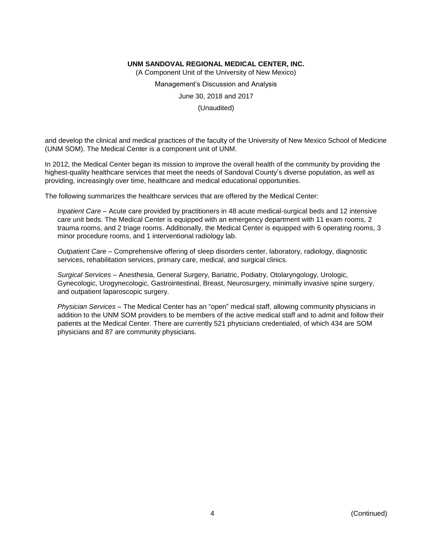(A Component Unit of the University of New Mexico)

Management's Discussion and Analysis

June 30, 2018 and 2017

#### (Unaudited)

and develop the clinical and medical practices of the faculty of the University of New Mexico School of Medicine (UNM SOM). The Medical Center is a component unit of UNM.

In 2012, the Medical Center began its mission to improve the overall health of the community by providing the highest-quality healthcare services that meet the needs of Sandoval County's diverse population, as well as providing, increasingly over time, healthcare and medical educational opportunities.

The following summarizes the healthcare services that are offered by the Medical Center:

*Inpatient Care* – Acute care provided by practitioners in 48 acute medical-surgical beds and 12 intensive care unit beds. The Medical Center is equipped with an emergency department with 11 exam rooms, 2 trauma rooms, and 2 triage rooms. Additionally, the Medical Center is equipped with 6 operating rooms, 3 minor procedure rooms, and 1 interventional radiology lab.

*Outpatient Care* – Comprehensive offering of sleep disorders center, laboratory, radiology, diagnostic services, rehabilitation services, primary care, medical, and surgical clinics.

*Surgical Services* – Anesthesia, General Surgery, Bariatric, Podiatry, Otolaryngology, Urologic, Gynecologic, Urogynecologic, Gastrointestinal, Breast, Neurosurgery, minimally invasive spine surgery, and outpatient laparoscopic surgery.

*Physician Services* – The Medical Center has an "open" medical staff, allowing community physicians in addition to the UNM SOM providers to be members of the active medical staff and to admit and follow their patients at the Medical Center. There are currently 521 physicians credentialed, of which 434 are SOM physicians and 87 are community physicians.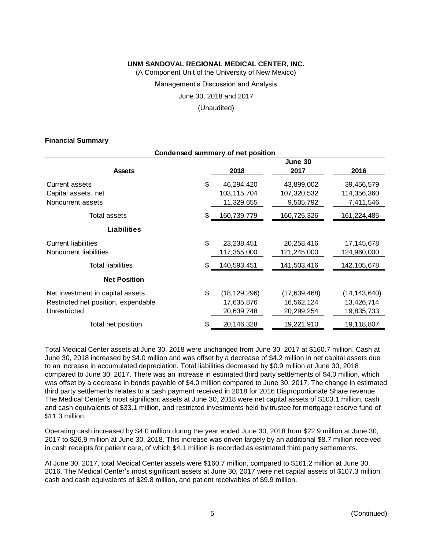(A Component Unit of the University of New Mexico)

Management's Discussion and Analysis

June 30, 2018 and 2017

(Unaudited)

**Condensed summary of net position**

#### **Financial Summary**

|                                     |    | Condensed summary or net position<br>June 30 |                |                |  |  |
|-------------------------------------|----|----------------------------------------------|----------------|----------------|--|--|
| <b>Assets</b>                       |    | 2018                                         | 2017           | 2016           |  |  |
| Current assets                      | \$ | 46,294,420                                   | 43,899,002     | 39,456,579     |  |  |
| Capital assets, net                 |    | 103, 115, 704                                | 107,320,532    | 114,356,360    |  |  |
| Noncurrent assets                   |    | 11,329,655                                   | 9,505,792      | 7,411,546      |  |  |
| Total assets                        | S  | 160,739,779                                  | 160,725,326    | 161,224,485    |  |  |
| <b>Liabilities</b>                  |    |                                              |                |                |  |  |
| <b>Current liabilities</b>          | \$ | 23,238,451                                   | 20,258,416     | 17, 145, 678   |  |  |
| Noncurrent liabilities              |    | 117,355,000                                  | 121,245,000    | 124,960,000    |  |  |
| Total liabilities                   | \$ | 140,593,451                                  | 141,503,416    | 142,105,678    |  |  |
| <b>Net Position</b>                 |    |                                              |                |                |  |  |
| Net investment in capital assets    | \$ | (18, 129, 296)                               | (17, 639, 468) | (14, 143, 640) |  |  |
| Restricted net position, expendable |    | 17,635,876                                   | 16,562,124     | 13,426,714     |  |  |
| Unrestricted                        |    | 20,639,748                                   | 20,299,254     | 19,835,733     |  |  |
| Total net position                  | \$ | 20,146,328                                   | 19,221,910     | 19,118,807     |  |  |

Total Medical Center assets at June 30, 2018 were unchanged from June 30, 2017 at \$160.7 million. Cash at June 30, 2018 increased by \$4.0 million and was offset by a decrease of \$4.2 million in net capital assets due to an increase in accumulated depreciation. Total liabilities decreased by \$0.9 million at June 30, 2018 compared to June 30, 2017. There was an increase in estimated third party settlements of \$4.0 million, which was offset by a decrease in bonds payable of \$4.0 million compared to June 30, 2017. The change in estimated third party settlements relates to a cash payment received in 2018 for 2016 Disproportionate Share revenue. The Medical Center's most significant assets at June 30, 2018 were net capital assets of \$103.1 million, cash and cash equivalents of \$33.1 million, and restricted investments held by trustee for mortgage reserve fund of \$11.3 million.

Operating cash increased by \$4.0 million during the year ended June 30, 2018 from \$22.9 million at June 30, 2017 to \$26.9 million at June 30, 2018. This increase was driven largely by an additional \$8.7 million received in cash receipts for patient care, of which \$4.1 million is recorded as estimated third party settlements.

At June 30, 2017, total Medical Center assets were \$160.7 million, compared to \$161.2 million at June 30, 2016. The Medical Center's most significant assets at June 30, 2017 were net capital assets of \$107.3 million, cash and cash equivalents of \$29.8 million, and patient receivables of \$9.9 million.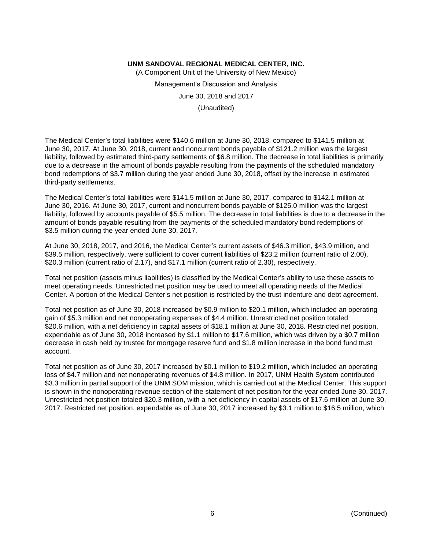(A Component Unit of the University of New Mexico)

Management's Discussion and Analysis June 30, 2018 and 2017

(Unaudited)

The Medical Center's total liabilities were \$140.6 million at June 30, 2018, compared to \$141.5 million at June 30, 2017. At June 30, 2018, current and noncurrent bonds payable of \$121.2 million was the largest liability, followed by estimated third-party settlements of \$6.8 million. The decrease in total liabilities is primarily due to a decrease in the amount of bonds payable resulting from the payments of the scheduled mandatory bond redemptions of \$3.7 million during the year ended June 30, 2018, offset by the increase in estimated third-party settlements.

The Medical Center's total liabilities were \$141.5 million at June 30, 2017, compared to \$142.1 million at June 30, 2016. At June 30, 2017, current and noncurrent bonds payable of \$125.0 million was the largest liability, followed by accounts payable of \$5.5 million. The decrease in total liabilities is due to a decrease in the amount of bonds payable resulting from the payments of the scheduled mandatory bond redemptions of \$3.5 million during the year ended June 30, 2017.

At June 30, 2018, 2017, and 2016, the Medical Center's current assets of \$46.3 million, \$43.9 million, and \$39.5 million, respectively, were sufficient to cover current liabilities of \$23.2 million (current ratio of 2.00), \$20.3 million (current ratio of 2.17), and \$17.1 million (current ratio of 2.30), respectively.

Total net position (assets minus liabilities) is classified by the Medical Center's ability to use these assets to meet operating needs. Unrestricted net position may be used to meet all operating needs of the Medical Center. A portion of the Medical Center's net position is restricted by the trust indenture and debt agreement.

Total net position as of June 30, 2018 increased by \$0.9 million to \$20.1 million, which included an operating gain of \$5.3 million and net nonoperating expenses of \$4.4 million. Unrestricted net position totaled \$20.6 million, with a net deficiency in capital assets of \$18.1 million at June 30, 2018. Restricted net position, expendable as of June 30, 2018 increased by \$1.1 million to \$17.6 million, which was driven by a \$0.7 million decrease in cash held by trustee for mortgage reserve fund and \$1.8 million increase in the bond fund trust account.

Total net position as of June 30, 2017 increased by \$0.1 million to \$19.2 million, which included an operating loss of \$4.7 million and net nonoperating revenues of \$4.8 million. In 2017, UNM Health System contributed \$3.3 million in partial support of the UNM SOM mission, which is carried out at the Medical Center. This support is shown in the nonoperating revenue section of the statement of net position for the year ended June 30, 2017. Unrestricted net position totaled \$20.3 million, with a net deficiency in capital assets of \$17.6 million at June 30, 2017. Restricted net position, expendable as of June 30, 2017 increased by \$3.1 million to \$16.5 million, which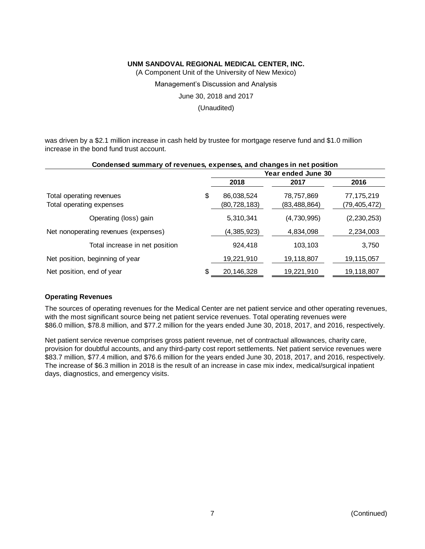(A Component Unit of the University of New Mexico)

Management's Discussion and Analysis

June 30, 2018 and 2017

(Unaudited)

was driven by a \$2.1 million increase in cash held by trustee for mortgage reserve fund and \$1.0 million increase in the bond fund trust account.

| Condensed summary of revenues, expenses, and changes in net position |    |                    |                |              |  |  |
|----------------------------------------------------------------------|----|--------------------|----------------|--------------|--|--|
|                                                                      |    | Year ended June 30 |                |              |  |  |
|                                                                      |    | 2018               | 2017           | 2016         |  |  |
| Total operating revenues                                             | \$ | 86,038,524         | 78,757,869     | 77, 175, 219 |  |  |
| Total operating expenses                                             |    | (80, 728, 183)     | (83, 488, 864) | (79,405,472) |  |  |
| Operating (loss) gain                                                |    | 5,310,341          | (4,730,995)    | (2,230,253)  |  |  |
| Net nonoperating revenues (expenses)                                 |    | (4,385,923)        | 4,834,098      | 2,234,003    |  |  |
| Total increase in net position                                       |    | 924.418            | 103.103        | 3,750        |  |  |
| Net position, beginning of year                                      |    | 19,221,910         | 19,118,807     | 19,115,057   |  |  |
| Net position, end of year                                            | \$ | 20,146,328         | 19,221,910     | 19,118,807   |  |  |

#### **Operating Revenues**

The sources of operating revenues for the Medical Center are net patient service and other operating revenues, with the most significant source being net patient service revenues. Total operating revenues were \$86.0 million, \$78.8 million, and \$77.2 million for the years ended June 30, 2018, 2017, and 2016, respectively.

Net patient service revenue comprises gross patient revenue, net of contractual allowances, charity care, provision for doubtful accounts, and any third-party cost report settlements. Net patient service revenues were \$83.7 million, \$77.4 million, and \$76.6 million for the years ended June 30, 2018, 2017, and 2016, respectively. The increase of \$6.3 million in 2018 is the result of an increase in case mix index, medical/surgical inpatient days, diagnostics, and emergency visits.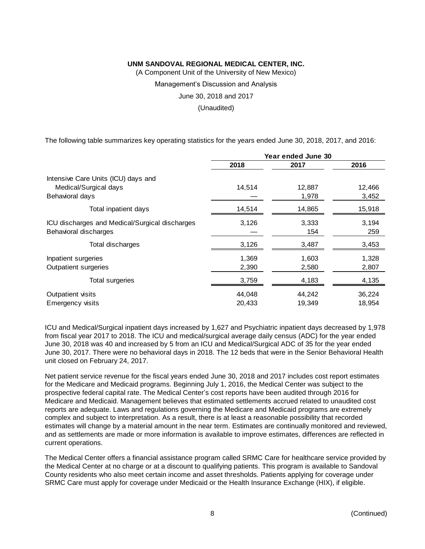(A Component Unit of the University of New Mexico)

Management's Discussion and Analysis

June 30, 2018 and 2017

#### (Unaudited)

The following table summarizes key operating statistics for the years ended June 30, 2018, 2017, and 2016:

|                                                | Year ended June 30 |        |        |  |
|------------------------------------------------|--------------------|--------|--------|--|
|                                                | 2018               | 2017   | 2016   |  |
| Intensive Care Units (ICU) days and            |                    |        |        |  |
| Medical/Surgical days                          | 14,514             | 12,887 | 12,466 |  |
| Behavioral days                                |                    | 1,978  | 3,452  |  |
| Total inpatient days                           | 14,514             | 14,865 | 15,918 |  |
| ICU discharges and Medical/Surgical discharges | 3,126              | 3,333  | 3,194  |  |
| Behavioral discharges                          |                    | 154    | 259    |  |
| Total discharges                               | 3,126              | 3,487  | 3,453  |  |
| Inpatient surgeries                            | 1,369              | 1,603  | 1,328  |  |
| Outpatient surgeries                           | 2,390              | 2,580  | 2,807  |  |
| Total surgeries                                | 3,759              | 4,183  | 4,135  |  |
| Outpatient visits                              | 44,048             | 44,242 | 36,224 |  |
| <b>Emergency visits</b>                        | 20,433             | 19,349 | 18.954 |  |

ICU and Medical/Surgical inpatient days increased by 1,627 and Psychiatric inpatient days decreased by 1,978 from fiscal year 2017 to 2018. The ICU and medical/surgical average daily census (ADC) for the year ended June 30, 2018 was 40 and increased by 5 from an ICU and Medical/Surgical ADC of 35 for the year ended June 30, 2017. There were no behavioral days in 2018. The 12 beds that were in the Senior Behavioral Health unit closed on February 24, 2017.

Net patient service revenue for the fiscal years ended June 30, 2018 and 2017 includes cost report estimates for the Medicare and Medicaid programs. Beginning July 1, 2016, the Medical Center was subject to the prospective federal capital rate. The Medical Center's cost reports have been audited through 2016 for Medicare and Medicaid. Management believes that estimated settlements accrued related to unaudited cost reports are adequate. Laws and regulations governing the Medicare and Medicaid programs are extremely complex and subject to interpretation. As a result, there is at least a reasonable possibility that recorded estimates will change by a material amount in the near term. Estimates are continually monitored and reviewed, and as settlements are made or more information is available to improve estimates, differences are reflected in current operations.

The Medical Center offers a financial assistance program called SRMC Care for healthcare service provided by the Medical Center at no charge or at a discount to qualifying patients. This program is available to Sandoval County residents who also meet certain income and asset thresholds. Patients applying for coverage under SRMC Care must apply for coverage under Medicaid or the Health Insurance Exchange (HIX), if eligible.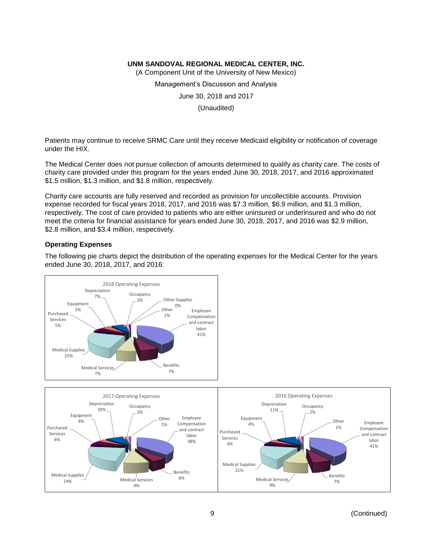(A Component Unit of the University of New Mexico)

Management's Discussion and Analysis

June 30, 2018 and 2017

#### (Unaudited)

Patients may continue to receive SRMC Care until they receive Medicaid eligibility or notification of coverage under the HIX.

The Medical Center does not pursue collection of amounts determined to qualify as charity care. The costs of charity care provided under this program for the years ended June 30, 2018, 2017, and 2016 approximated \$1.5 million, \$1.3 million, and \$1.8 million, respectively.

Charity care accounts are fully reserved and recorded as provision for uncollectible accounts. Provision expense recorded for fiscal years 2018, 2017, and 2016 was \$7.3 million, \$6.9 million, and \$1.3 million, respectively. The cost of care provided to patients who are either uninsured or underinsured and who do not meet the criteria for financial assistance for years ended June 30, 2018, 2017, and 2016 was \$2.9 million, \$2.8 million, and \$3.4 million, respectively.

# **Operating Expenses**

The following pie charts depict the distribution of the operating expenses for the Medical Center for the years ended June 30, 2018, 2017, and 2016:



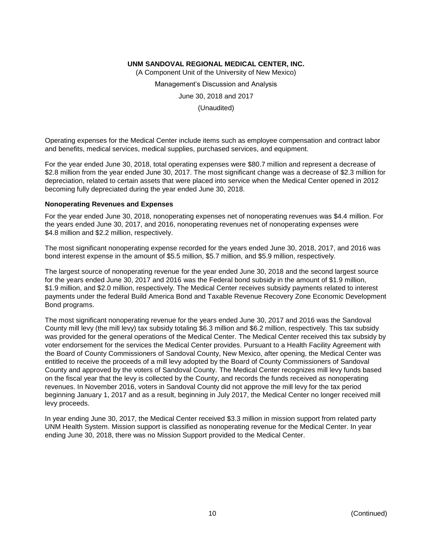(A Component Unit of the University of New Mexico)

Management's Discussion and Analysis

June 30, 2018 and 2017

(Unaudited)

Operating expenses for the Medical Center include items such as employee compensation and contract labor and benefits, medical services, medical supplies, purchased services, and equipment.

For the year ended June 30, 2018, total operating expenses were \$80.7 million and represent a decrease of \$2.8 million from the year ended June 30, 2017. The most significant change was a decrease of \$2.3 million for depreciation, related to certain assets that were placed into service when the Medical Center opened in 2012 becoming fully depreciated during the year ended June 30, 2018.

#### **Nonoperating Revenues and Expenses**

For the year ended June 30, 2018, nonoperating expenses net of nonoperating revenues was \$4.4 million. For the years ended June 30, 2017, and 2016, nonoperating revenues net of nonoperating expenses were \$4.8 million and \$2.2 million, respectively.

The most significant nonoperating expense recorded for the years ended June 30, 2018, 2017, and 2016 was bond interest expense in the amount of \$5.5 million, \$5.7 million, and \$5.9 million, respectively.

The largest source of nonoperating revenue for the year ended June 30, 2018 and the second largest source for the years ended June 30, 2017 and 2016 was the Federal bond subsidy in the amount of \$1.9 million, \$1.9 million, and \$2.0 million, respectively. The Medical Center receives subsidy payments related to interest payments under the federal Build America Bond and Taxable Revenue Recovery Zone Economic Development Bond programs.

The most significant nonoperating revenue for the years ended June 30, 2017 and 2016 was the Sandoval County mill levy (the mill levy) tax subsidy totaling \$6.3 million and \$6.2 million, respectively. This tax subsidy was provided for the general operations of the Medical Center. The Medical Center received this tax subsidy by voter endorsement for the services the Medical Center provides. Pursuant to a Health Facility Agreement with the Board of County Commissioners of Sandoval County, New Mexico, after opening, the Medical Center was entitled to receive the proceeds of a mill levy adopted by the Board of County Commissioners of Sandoval County and approved by the voters of Sandoval County. The Medical Center recognizes mill levy funds based on the fiscal year that the levy is collected by the County, and records the funds received as nonoperating revenues. In November 2016, voters in Sandoval County did not approve the mill levy for the tax period beginning January 1, 2017 and as a result, beginning in July 2017, the Medical Center no longer received mill levy proceeds.

In year ending June 30, 2017, the Medical Center received \$3.3 million in mission support from related party UNM Health System. Mission support is classified as nonoperating revenue for the Medical Center. In year ending June 30, 2018, there was no Mission Support provided to the Medical Center.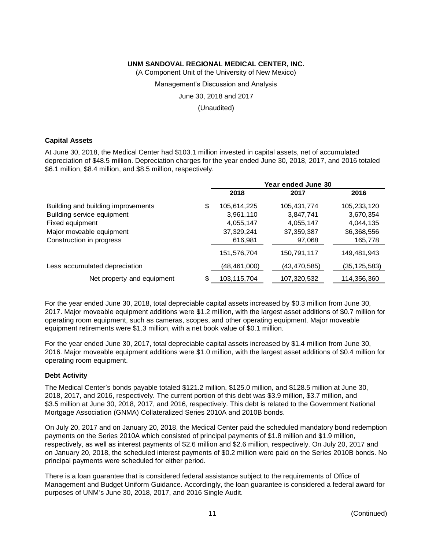(A Component Unit of the University of New Mexico)

Management's Discussion and Analysis

June 30, 2018 and 2017

(Unaudited)

# **Capital Assets**

At June 30, 2018, the Medical Center had \$103.1 million invested in capital assets, net of accumulated depreciation of \$48.5 million. Depreciation charges for the year ended June 30, 2018, 2017, and 2016 totaled \$6.1 million, \$8.4 million, and \$8.5 million, respectively.

|                                    |    |              | <b>Year ended June 30</b> |              |
|------------------------------------|----|--------------|---------------------------|--------------|
|                                    |    | 2018         | 2017                      | 2016         |
| Building and building improvements | \$ | 105.614.225  | 105,431,774               | 105,233,120  |
| Building service equipment         |    | 3,961,110    | 3,847,741                 | 3,670,354    |
| Fixed equipment                    |    | 4,055,147    | 4,055,147                 | 4,044,135    |
| Major moveable equipment           |    | 37,329,241   | 37, 359, 387              | 36,368,556   |
| Construction in progress           |    | 616,981      | 97,068                    | 165,778      |
|                                    |    | 151.576.704  | 150,791,117               | 149,481,943  |
| Less accumulated depreciation      |    | (48,461,000) | (43,470,585)              | (35,125,583) |
| Net property and equipment         | S  | 103,115,704  | 107,320,532               | 114,356,360  |

For the year ended June 30, 2018, total depreciable capital assets increased by \$0.3 million from June 30, 2017. Major moveable equipment additions were \$1.2 million, with the largest asset additions of \$0.7 million for operating room equipment, such as cameras, scopes, and other operating equipment. Major moveable equipment retirements were \$1.3 million, with a net book value of \$0.1 million.

For the year ended June 30, 2017, total depreciable capital assets increased by \$1.4 million from June 30, 2016. Major moveable equipment additions were \$1.0 million, with the largest asset additions of \$0.4 million for operating room equipment.

# **Debt Activity**

The Medical Center's bonds payable totaled \$121.2 million, \$125.0 million, and \$128.5 million at June 30, 2018, 2017, and 2016, respectively. The current portion of this debt was \$3.9 million, \$3.7 million, and \$3.5 million at June 30, 2018, 2017, and 2016, respectively. This debt is related to the Government National Mortgage Association (GNMA) Collateralized Series 2010A and 2010B bonds.

On July 20, 2017 and on January 20, 2018, the Medical Center paid the scheduled mandatory bond redemption payments on the Series 2010A which consisted of principal payments of \$1.8 million and \$1.9 million, respectively, as well as interest payments of \$2.6 million and \$2.6 million, respectively. On July 20, 2017 and on January 20, 2018, the scheduled interest payments of \$0.2 million were paid on the Series 2010B bonds. No principal payments were scheduled for either period.

There is a loan guarantee that is considered federal assistance subject to the requirements of Office of Management and Budget Uniform Guidance. Accordingly, the loan guarantee is considered a federal award for purposes of UNM's June 30, 2018, 2017, and 2016 Single Audit.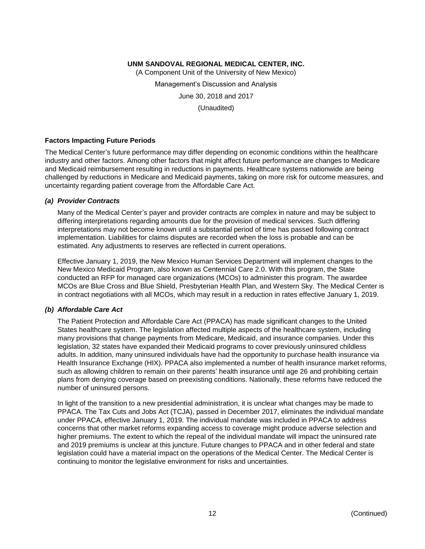(A Component Unit of the University of New Mexico)

Management's Discussion and Analysis June 30, 2018 and 2017

(Unaudited)

## **Factors Impacting Future Periods**

The Medical Center's future performance may differ depending on economic conditions within the healthcare industry and other factors. Among other factors that might affect future performance are changes to Medicare and Medicaid reimbursement resulting in reductions in payments. Healthcare systems nationwide are being challenged by reductions in Medicare and Medicaid payments, taking on more risk for outcome measures, and uncertainty regarding patient coverage from the Affordable Care Act.

# *(a) Provider Contracts*

Many of the Medical Center's payer and provider contracts are complex in nature and may be subject to differing interpretations regarding amounts due for the provision of medical services. Such differing interpretations may not become known until a substantial period of time has passed following contract implementation. Liabilities for claims disputes are recorded when the loss is probable and can be estimated. Any adjustments to reserves are reflected in current operations.

Effective January 1, 2019, the New Mexico Human Services Department will implement changes to the New Mexico Medicaid Program, also known as Centennial Care 2.0. With this program, the State conducted an RFP for managed care organizations (MCOs) to administer this program. The awardee MCOs are Blue Cross and Blue Shield, Presbyterian Health Plan, and Western Sky. The Medical Center is in contract negotiations with all MCOs, which may result in a reduction in rates effective January 1, 2019.

# *(b) Affordable Care Act*

The Patient Protection and Affordable Care Act (PPACA) has made significant changes to the United States healthcare system. The legislation affected multiple aspects of the healthcare system, including many provisions that change payments from Medicare, Medicaid, and insurance companies. Under this legislation, 32 states have expanded their Medicaid programs to cover previously uninsured childless adults. In addition, many uninsured individuals have had the opportunity to purchase health insurance via Health Insurance Exchange (HIX). PPACA also implemented a number of health insurance market reforms, such as allowing children to remain on their parents' health insurance until age 26 and prohibiting certain plans from denying coverage based on preexisting conditions. Nationally, these reforms have reduced the number of uninsured persons.

In light of the transition to a new presidential administration, it is unclear what changes may be made to PPACA. The Tax Cuts and Jobs Act (TCJA), passed in December 2017, eliminates the individual mandate under PPACA, effective January 1, 2019. The individual mandate was included in PPACA to address concerns that other market reforms expanding access to coverage might produce adverse selection and higher premiums. The extent to which the repeal of the individual mandate will impact the uninsured rate and 2019 premiums is unclear at this juncture. Future changes to PPACA and in other federal and state legislation could have a material impact on the operations of the Medical Center. The Medical Center is continuing to monitor the legislative environment for risks and uncertainties.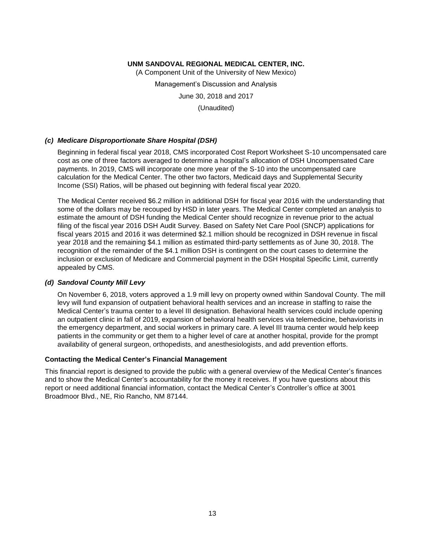(A Component Unit of the University of New Mexico)

Management's Discussion and Analysis June 30, 2018 and 2017

(Unaudited)

## *(c) Medicare Disproportionate Share Hospital (DSH)*

Beginning in federal fiscal year 2018, CMS incorporated Cost Report Worksheet S-10 uncompensated care cost as one of three factors averaged to determine a hospital's allocation of DSH Uncompensated Care payments. In 2019, CMS will incorporate one more year of the S-10 into the uncompensated care calculation for the Medical Center. The other two factors, Medicaid days and Supplemental Security Income (SSI) Ratios, will be phased out beginning with federal fiscal year 2020.

The Medical Center received \$6.2 million in additional DSH for fiscal year 2016 with the understanding that some of the dollars may be recouped by HSD in later years. The Medical Center completed an analysis to estimate the amount of DSH funding the Medical Center should recognize in revenue prior to the actual filing of the fiscal year 2016 DSH Audit Survey. Based on Safety Net Care Pool (SNCP) applications for fiscal years 2015 and 2016 it was determined \$2.1 million should be recognized in DSH revenue in fiscal year 2018 and the remaining \$4.1 million as estimated third-party settlements as of June 30, 2018. The recognition of the remainder of the \$4.1 million DSH is contingent on the court cases to determine the inclusion or exclusion of Medicare and Commercial payment in the DSH Hospital Specific Limit, currently appealed by CMS.

#### *(d) Sandoval County Mill Levy*

On November 6, 2018, voters approved a 1.9 mill levy on property owned within Sandoval County. The mill levy will fund expansion of outpatient behavioral health services and an increase in staffing to raise the Medical Center's trauma center to a level III designation. Behavioral health services could include opening an outpatient clinic in fall of 2019, expansion of behavioral health services via telemedicine, behaviorists in the emergency department, and social workers in primary care. A level III trauma center would help keep patients in the community or get them to a higher level of care at another hospital, provide for the prompt availability of general surgeon, orthopedists, and anesthesiologists, and add prevention efforts.

#### **Contacting the Medical Center's Financial Management**

This financial report is designed to provide the public with a general overview of the Medical Center's finances and to show the Medical Center's accountability for the money it receives. If you have questions about this report or need additional financial information, contact the Medical Center's Controller's office at 3001 Broadmoor Blvd., NE, Rio Rancho, NM 87144.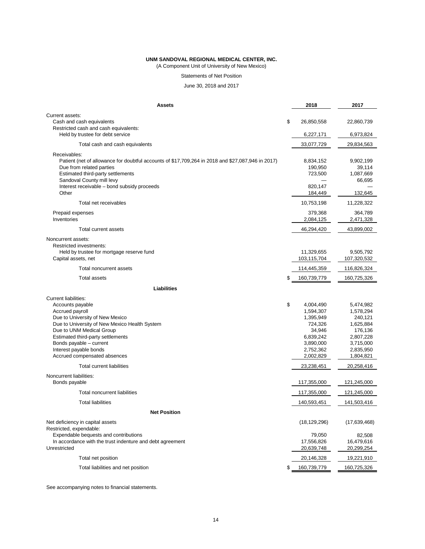(A Component Unit of University of New Mexico)

Statements of Net Position

June 30, 2018 and 2017

| <b>Assets</b>                                                                                                                                                                                                                                                                                                                                    | 2018                                                                                                                             | 2017                                                                                                                        |
|--------------------------------------------------------------------------------------------------------------------------------------------------------------------------------------------------------------------------------------------------------------------------------------------------------------------------------------------------|----------------------------------------------------------------------------------------------------------------------------------|-----------------------------------------------------------------------------------------------------------------------------|
| Current assets:<br>Cash and cash equivalents<br>Restricted cash and cash equivalents:                                                                                                                                                                                                                                                            | \$<br>26,850,558                                                                                                                 | 22,860,739                                                                                                                  |
| Held by trustee for debt service                                                                                                                                                                                                                                                                                                                 | 6,227,171                                                                                                                        | 6,973,824                                                                                                                   |
| Total cash and cash equivalents                                                                                                                                                                                                                                                                                                                  | 33,077,729                                                                                                                       | 29,834,563                                                                                                                  |
| Receivables:<br>Patient (net of allowance for doubtful accounts of \$17,709,264 in 2018 and \$27,087,946 in 2017)<br>Due from related parties<br>Estimated third-party settlements<br>Sandoval County mill levy<br>Interest receivable - bond subsidy proceeds<br>Other                                                                          | 8,834,152<br>190,950<br>723,500<br>820,147<br>184,449                                                                            | 9,902,199<br>39,114<br>1,087,669<br>66,695<br>132,645                                                                       |
| Total net receivables                                                                                                                                                                                                                                                                                                                            | 10,753,198                                                                                                                       | 11,228,322                                                                                                                  |
| Prepaid expenses<br>Inventories                                                                                                                                                                                                                                                                                                                  | 379,368<br>2,084,125                                                                                                             | 364,789<br>2,471,328                                                                                                        |
| Total current assets                                                                                                                                                                                                                                                                                                                             | 46,294,420                                                                                                                       | 43,899,002                                                                                                                  |
| Noncurrent assets:<br><b>Restricted investments:</b><br>Held by trustee for mortgage reserve fund                                                                                                                                                                                                                                                | 11,329,655                                                                                                                       | 9,505,792                                                                                                                   |
| Capital assets, net                                                                                                                                                                                                                                                                                                                              | 103,115,704                                                                                                                      | 107,320,532                                                                                                                 |
| Total noncurrent assets<br><b>Total assets</b>                                                                                                                                                                                                                                                                                                   | \$<br>114,445,359                                                                                                                | 116,826,324                                                                                                                 |
| Liabilities                                                                                                                                                                                                                                                                                                                                      | 160,739,779                                                                                                                      | 160,725,326                                                                                                                 |
|                                                                                                                                                                                                                                                                                                                                                  |                                                                                                                                  |                                                                                                                             |
| <b>Current liabilities:</b><br>Accounts payable<br>Accrued payroll<br>Due to University of New Mexico<br>Due to University of New Mexico Health System<br>Due to UNM Medical Group<br>Estimated third-party settlements<br>Bonds payable - current<br>Interest payable bonds<br>Accrued compensated absences<br><b>Total current liabilities</b> | \$<br>4,004,490<br>1,594,307<br>1,395,949<br>724,326<br>34,946<br>6,839,242<br>3,890,000<br>2,752,362<br>2,002,829<br>23,238,451 | 5,474,982<br>1,578,294<br>240,121<br>1,625,884<br>176,136<br>2,807,228<br>3,715,000<br>2,835,950<br>1,804,821<br>20,258,416 |
| Noncurrent liabilities:                                                                                                                                                                                                                                                                                                                          |                                                                                                                                  |                                                                                                                             |
| Bonds payable                                                                                                                                                                                                                                                                                                                                    | 117,355,000                                                                                                                      | 121,245,000                                                                                                                 |
| <b>Total noncurrent liabilities</b>                                                                                                                                                                                                                                                                                                              | 117,355,000                                                                                                                      | 121,245,000                                                                                                                 |
| <b>Total liabilities</b>                                                                                                                                                                                                                                                                                                                         | 140,593,451                                                                                                                      | 141,503,416                                                                                                                 |
| <b>Net Position</b>                                                                                                                                                                                                                                                                                                                              |                                                                                                                                  |                                                                                                                             |
| Net deficiency in capital assets<br>Restricted, expendable:<br>Expendable bequests and contributions<br>In accordance with the trust indenture and debt agreement<br>Unrestricted                                                                                                                                                                | (18, 129, 296)<br>79,050<br>17,556,826<br>20,639,748                                                                             | (17,639,468)<br>82,508<br>16,479,616<br>20,299,254                                                                          |
| Total net position                                                                                                                                                                                                                                                                                                                               | 20,146,328                                                                                                                       | 19,221,910                                                                                                                  |
| Total liabilities and net position                                                                                                                                                                                                                                                                                                               | \$<br>160,739,779                                                                                                                | 160,725,326                                                                                                                 |

See accompanying notes to financial statements.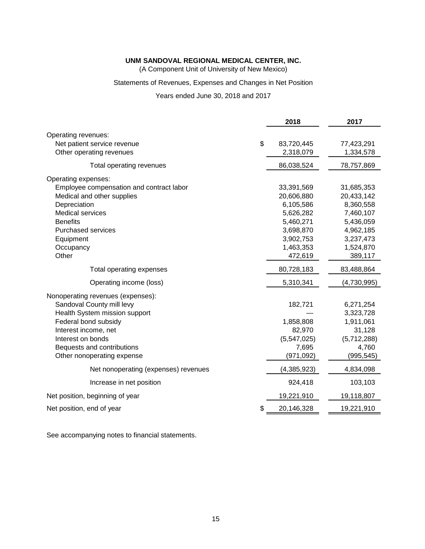(A Component Unit of University of New Mexico)

# Statements of Revenues, Expenses and Changes in Net Position

Years ended June 30, 2018 and 2017

|                                          | 2018        | 2017        |
|------------------------------------------|-------------|-------------|
| Operating revenues:                      |             |             |
| \$<br>Net patient service revenue        | 83,720,445  | 77,423,291  |
| Other operating revenues                 | 2,318,079   | 1,334,578   |
| Total operating revenues                 | 86,038,524  | 78,757,869  |
| Operating expenses:                      |             |             |
| Employee compensation and contract labor | 33,391,569  | 31,685,353  |
| Medical and other supplies               | 20,606,880  | 20,433,142  |
| Depreciation                             | 6,105,586   | 8,360,558   |
| <b>Medical services</b>                  | 5,626,282   | 7,460,107   |
| <b>Benefits</b>                          | 5,460,271   | 5,436,059   |
| <b>Purchased services</b>                | 3,698,870   | 4,962,185   |
| Equipment                                | 3,902,753   | 3,237,473   |
| Occupancy                                | 1,463,353   | 1,524,870   |
| Other                                    | 472,619     | 389,117     |
| Total operating expenses                 | 80,728,183  | 83,488,864  |
| Operating income (loss)                  | 5,310,341   | (4,730,995) |
| Nonoperating revenues (expenses):        |             |             |
| Sandoval County mill levy                | 182,721     | 6,271,254   |
| Health System mission support            |             | 3,323,728   |
| Federal bond subsidy                     | 1,858,808   | 1,911,061   |
| Interest income, net                     | 82,970      | 31,128      |
| Interest on bonds                        | (5,547,025) | (5,712,288) |
| Bequests and contributions               | 7,695       | 4,760       |
| Other nonoperating expense               | (971, 092)  | (995, 545)  |
| Net nonoperating (expenses) revenues     | (4,385,923) | 4,834,098   |
| Increase in net position                 | 924,418     | 103,103     |
| Net position, beginning of year          | 19,221,910  | 19,118,807  |
| \$<br>Net position, end of year          | 20,146,328  | 19,221,910  |

See accompanying notes to financial statements.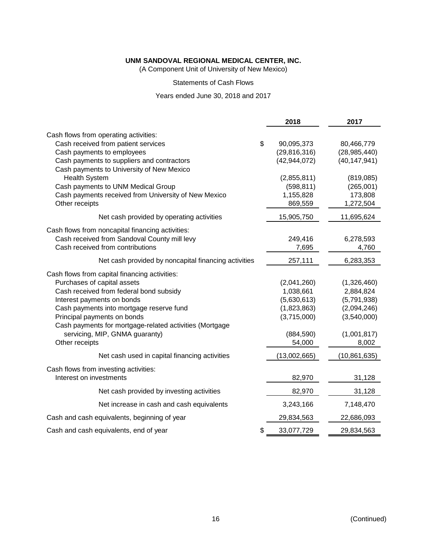(A Component Unit of University of New Mexico)

# Statements of Cash Flows

# Years ended June 30, 2018 and 2017

|                                                         | 2018             | 2017           |
|---------------------------------------------------------|------------------|----------------|
| Cash flows from operating activities:                   |                  |                |
| Cash received from patient services                     | \$<br>90,095,373 | 80,466,779     |
| Cash payments to employees                              | (29, 816, 316)   | (28, 985, 440) |
| Cash payments to suppliers and contractors              | (42, 944, 072)   | (40, 147, 941) |
| Cash payments to University of New Mexico               |                  |                |
| <b>Health System</b>                                    | (2,855,811)      | (819,085)      |
| Cash payments to UNM Medical Group                      | (598, 811)       | (265,001)      |
| Cash payments received from University of New Mexico    | 1,155,828        | 173,808        |
| Other receipts                                          | 869,559          | 1,272,504      |
| Net cash provided by operating activities               | 15,905,750       | 11,695,624     |
|                                                         |                  |                |
| Cash flows from noncapital financing activities:        |                  |                |
| Cash received from Sandoval County mill levy            | 249,416          | 6,278,593      |
| Cash received from contributions                        | 7,695            | 4,760          |
| Net cash provided by noncapital financing activities    | 257,111          | 6,283,353      |
| Cash flows from capital financing activities:           |                  |                |
| Purchases of capital assets                             | (2,041,260)      | (1,326,460)    |
| Cash received from federal bond subsidy                 | 1,038,661        | 2,884,824      |
| Interest payments on bonds                              | (5,630,613)      | (5,791,938)    |
| Cash payments into mortgage reserve fund                | (1,823,863)      | (2,094,246)    |
| Principal payments on bonds                             | (3,715,000)      | (3,540,000)    |
| Cash payments for mortgage-related activities (Mortgage |                  |                |
| servicing, MIP, GNMA guaranty)                          | (884, 590)       | (1,001,817)    |
| Other receipts                                          | 54,000           | 8,002          |
| Net cash used in capital financing activities           | (13,002,665)     | (10, 861, 635) |
| Cash flows from investing activities:                   |                  |                |
| Interest on investments                                 | 82,970           | 31,128         |
|                                                         |                  |                |
| Net cash provided by investing activities               | 82,970           | 31,128         |
| Net increase in cash and cash equivalents               | 3,243,166        | 7,148,470      |
| Cash and cash equivalents, beginning of year            | 29,834,563       | 22,686,093     |
| Cash and cash equivalents, end of year                  | \$<br>33,077,729 | 29,834,563     |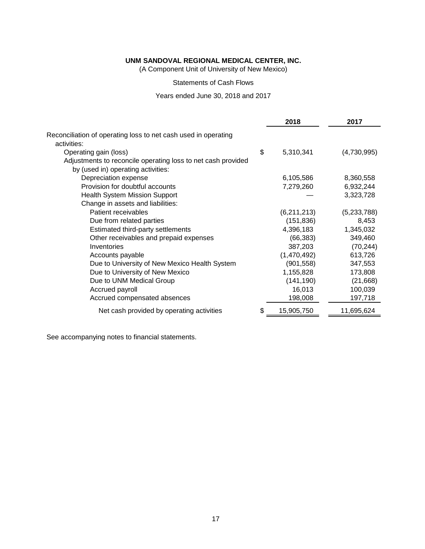(A Component Unit of University of New Mexico)

Statements of Cash Flows

Years ended June 30, 2018 and 2017

|                                                                | 2018             | 2017        |
|----------------------------------------------------------------|------------------|-------------|
| Reconciliation of operating loss to net cash used in operating |                  |             |
| activities:                                                    |                  |             |
| Operating gain (loss)                                          | \$<br>5,310,341  | (4,730,995) |
| Adjustments to reconcile operating loss to net cash provided   |                  |             |
| by (used in) operating activities:                             |                  |             |
| Depreciation expense                                           | 6,105,586        | 8,360,558   |
| Provision for doubtful accounts                                | 7,279,260        | 6,932,244   |
| <b>Health System Mission Support</b>                           |                  | 3,323,728   |
| Change in assets and liabilities:                              |                  |             |
| Patient receivables                                            | (6,211,213)      | (5,233,788) |
| Due from related parties                                       | (151, 836)       | 8,453       |
| Estimated third-party settlements                              | 4,396,183        | 1,345,032   |
| Other receivables and prepaid expenses                         | (66, 383)        | 349,460     |
| Inventories                                                    | 387,203          | (70, 244)   |
| Accounts payable                                               | (1,470,492)      | 613,726     |
| Due to University of New Mexico Health System                  | (901, 558)       | 347,553     |
| Due to University of New Mexico                                | 1,155,828        | 173,808     |
| Due to UNM Medical Group                                       | (141, 190)       | (21,668)    |
| Accrued payroll                                                | 16,013           | 100,039     |
| Accrued compensated absences                                   | 198,008          | 197,718     |
| Net cash provided by operating activities                      | \$<br>15,905,750 | 11,695,624  |

See accompanying notes to financial statements.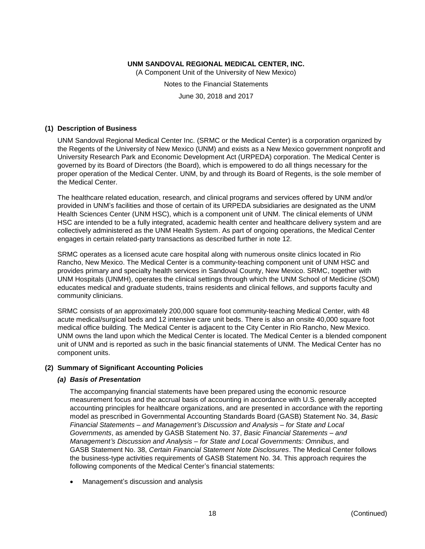(A Component Unit of the University of New Mexico)

Notes to the Financial Statements June 30, 2018 and 2017

#### **(1) Description of Business**

UNM Sandoval Regional Medical Center Inc. (SRMC or the Medical Center) is a corporation organized by the Regents of the University of New Mexico (UNM) and exists as a New Mexico government nonprofit and University Research Park and Economic Development Act (URPEDA) corporation. The Medical Center is governed by its Board of Directors (the Board), which is empowered to do all things necessary for the proper operation of the Medical Center. UNM, by and through its Board of Regents, is the sole member of the Medical Center.

The healthcare related education, research, and clinical programs and services offered by UNM and/or provided in UNM's facilities and those of certain of its URPEDA subsidiaries are designated as the UNM Health Sciences Center (UNM HSC), which is a component unit of UNM. The clinical elements of UNM HSC are intended to be a fully integrated, academic health center and healthcare delivery system and are collectively administered as the UNM Health System. As part of ongoing operations, the Medical Center engages in certain related-party transactions as described further in note 12.

SRMC operates as a licensed acute care hospital along with numerous onsite clinics located in Rio Rancho, New Mexico. The Medical Center is a community-teaching component unit of UNM HSC and provides primary and specialty health services in Sandoval County, New Mexico. SRMC, together with UNM Hospitals (UNMH), operates the clinical settings through which the UNM School of Medicine (SOM) educates medical and graduate students, trains residents and clinical fellows, and supports faculty and community clinicians.

SRMC consists of an approximately 200,000 square foot community-teaching Medical Center, with 48 acute medical/surgical beds and 12 intensive care unit beds. There is also an onsite 40,000 square foot medical office building. The Medical Center is adjacent to the City Center in Rio Rancho, New Mexico. UNM owns the land upon which the Medical Center is located. The Medical Center is a blended component unit of UNM and is reported as such in the basic financial statements of UNM. The Medical Center has no component units.

#### **(2) Summary of Significant Accounting Policies**

#### *(a) Basis of Presentation*

The accompanying financial statements have been prepared using the economic resource measurement focus and the accrual basis of accounting in accordance with U.S. generally accepted accounting principles for healthcare organizations, and are presented in accordance with the reporting model as prescribed in Governmental Accounting Standards Board (GASB) Statement No. 34, *Basic Financial Statements – and Management's Discussion and Analysis – for State and Local Governments*, as amended by GASB Statement No. 37, *Basic Financial Statements – and Management's Discussion and Analysis – for State and Local Governments: Omnibus*, and GASB Statement No. 38, *Certain Financial Statement Note Disclosures*. The Medical Center follows the business-type activities requirements of GASB Statement No. 34. This approach requires the following components of the Medical Center's financial statements:

Management's discussion and analysis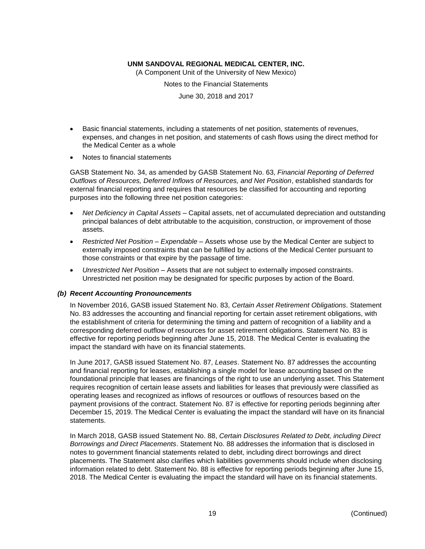(A Component Unit of the University of New Mexico)

Notes to the Financial Statements

June 30, 2018 and 2017

- Basic financial statements, including a statements of net position, statements of revenues, expenses, and changes in net position, and statements of cash flows using the direct method for the Medical Center as a whole
- Notes to financial statements

GASB Statement No. 34, as amended by GASB Statement No. 63, *Financial Reporting of Deferred Outflows of Resources, Deferred Inflows of Resources, and Net Position*, established standards for external financial reporting and requires that resources be classified for accounting and reporting purposes into the following three net position categories:

- *Net Deficiency in Capital Assets* Capital assets, net of accumulated depreciation and outstanding principal balances of debt attributable to the acquisition, construction, or improvement of those assets.
- *Restricted Net Position – Expendable* Assets whose use by the Medical Center are subject to externally imposed constraints that can be fulfilled by actions of the Medical Center pursuant to those constraints or that expire by the passage of time.
- *Unrestricted Net Position* Assets that are not subject to externally imposed constraints. Unrestricted net position may be designated for specific purposes by action of the Board.

#### *(b) Recent Accounting Pronouncements*

In November 2016, GASB issued Statement No. 83, *Certain Asset Retirement Obligations*. Statement No. 83 addresses the accounting and financial reporting for certain asset retirement obligations, with the establishment of criteria for determining the timing and pattern of recognition of a liability and a corresponding deferred outflow of resources for asset retirement obligations. Statement No. 83 is effective for reporting periods beginning after June 15, 2018. The Medical Center is evaluating the impact the standard with have on its financial statements.

In June 2017, GASB issued Statement No. 87, *Leases*. Statement No. 87 addresses the accounting and financial reporting for leases, establishing a single model for lease accounting based on the foundational principle that leases are financings of the right to use an underlying asset. This Statement requires recognition of certain lease assets and liabilities for leases that previously were classified as operating leases and recognized as inflows of resources or outflows of resources based on the payment provisions of the contract. Statement No. 87 is effective for reporting periods beginning after December 15, 2019. The Medical Center is evaluating the impact the standard will have on its financial statements.

In March 2018, GASB issued Statement No. 88, *Certain Disclosures Related to Debt, including Direct Borrowings and Direct Placements*. Statement No. 88 addresses the information that is disclosed in notes to government financial statements related to debt, including direct borrowings and direct placements. The Statement also clarifies which liabilities governments should include when disclosing information related to debt. Statement No. 88 is effective for reporting periods beginning after June 15, 2018. The Medical Center is evaluating the impact the standard will have on its financial statements.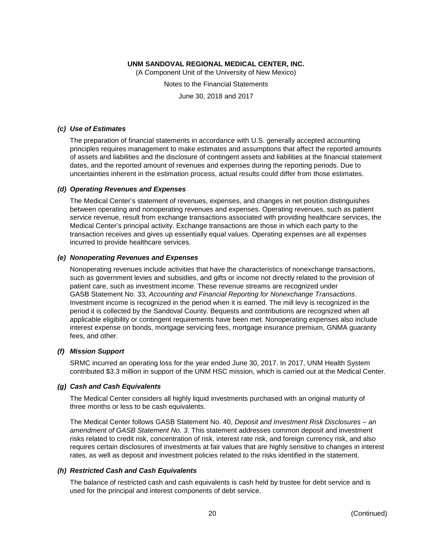(A Component Unit of the University of New Mexico)

Notes to the Financial Statements June 30, 2018 and 2017

#### *(c) Use of Estimates*

The preparation of financial statements in accordance with U.S. generally accepted accounting principles requires management to make estimates and assumptions that affect the reported amounts of assets and liabilities and the disclosure of contingent assets and liabilities at the financial statement dates, and the reported amount of revenues and expenses during the reporting periods. Due to uncertainties inherent in the estimation process, actual results could differ from those estimates.

#### *(d) Operating Revenues and Expenses*

The Medical Center's statement of revenues, expenses, and changes in net position distinguishes between operating and nonoperating revenues and expenses. Operating revenues, such as patient service revenue, result from exchange transactions associated with providing healthcare services, the Medical Center's principal activity. Exchange transactions are those in which each party to the transaction receives and gives up essentially equal values. Operating expenses are all expenses incurred to provide healthcare services.

#### *(e) Nonoperating Revenues and Expenses*

Nonoperating revenues include activities that have the characteristics of nonexchange transactions, such as government levies and subsidies, and gifts or income not directly related to the provision of patient care, such as investment income. These revenue streams are recognized under GASB Statement No. 33, *Accounting and Financial Reporting for Nonexchange Transactions*. Investment income is recognized in the period when it is earned. The mill levy is recognized in the period it is collected by the Sandoval County. Bequests and contributions are recognized when all applicable eligibility or contingent requirements have been met. Nonoperating expenses also include interest expense on bonds, mortgage servicing fees, mortgage insurance premium, GNMA guaranty fees, and other.

#### *(f) Mission Support*

SRMC incurred an operating loss for the year ended June 30, 2017. In 2017, UNM Health System contributed \$3.3 million in support of the UNM HSC mission, which is carried out at the Medical Center.

#### *(g) Cash and Cash Equivalents*

The Medical Center considers all highly liquid investments purchased with an original maturity of three months or less to be cash equivalents.

The Medical Center follows GASB Statement No. 40, *Deposit and Investment Risk Disclosures – an amendment of GASB Statement No. 3*. This statement addresses common deposit and investment risks related to credit risk, concentration of risk, interest rate risk, and foreign currency risk, and also requires certain disclosures of investments at fair values that are highly sensitive to changes in interest rates, as well as deposit and investment policies related to the risks identified in the statement.

#### *(h) Restricted Cash and Cash Equivalents*

The balance of restricted cash and cash equivalents is cash held by trustee for debt service and is used for the principal and interest components of debt service.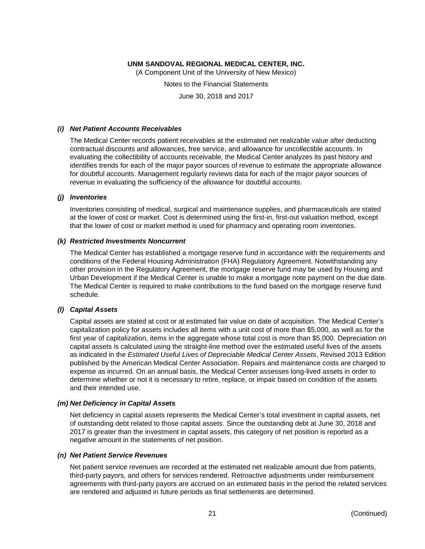(A Component Unit of the University of New Mexico)

Notes to the Financial Statements June 30, 2018 and 2017

#### *(i) Net Patient Accounts Receivables*

The Medical Center records patient receivables at the estimated net realizable value after deducting contractual discounts and allowances, free service, and allowance for uncollectible accounts. In evaluating the collectibility of accounts receivable, the Medical Center analyzes its past history and identifies trends for each of the major payor sources of revenue to estimate the appropriate allowance for doubtful accounts. Management regularly reviews data for each of the major payor sources of revenue in evaluating the sufficiency of the allowance for doubtful accounts.

#### *(j) Inventories*

Inventories consisting of medical, surgical and maintenance supplies, and pharmaceuticals are stated at the lower of cost or market. Cost is determined using the first-in, first-out valuation method, except that the lower of cost or market method is used for pharmacy and operating room inventories.

#### *(k) Restricted Investments Noncurrent*

The Medical Center has established a mortgage reserve fund in accordance with the requirements and conditions of the Federal Housing Administration (FHA) Regulatory Agreement. Notwithstanding any other provision in the Regulatory Agreement, the mortgage reserve fund may be used by Housing and Urban Development if the Medical Center is unable to make a mortgage note payment on the due date. The Medical Center is required to make contributions to the fund based on the mortgage reserve fund schedule.

#### *(l) Capital Assets*

Capital assets are stated at cost or at estimated fair value on date of acquisition. The Medical Center's capitalization policy for assets includes all items with a unit cost of more than \$5,000, as well as for the first year of capitalization, items in the aggregate whose total cost is more than \$5,000. Depreciation on capital assets is calculated using the straight-line method over the estimated useful lives of the assets as indicated in the *Estimated Useful Lives of Depreciable Medical Center Assets*, Revised 2013 Edition published by the American Medical Center Association. Repairs and maintenance costs are charged to expense as incurred. On an annual basis, the Medical Center assesses long-lived assets in order to determine whether or not it is necessary to retire, replace, or impair based on condition of the assets and their intended use.

#### *(m) Net Deficiency in Capital Assets*

Net deficiency in capital assets represents the Medical Center's total investment in capital assets, net of outstanding debt related to those capital assets. Since the outstanding debt at June 30, 2018 and 2017 is greater than the investment in capital assets, this category of net position is reported as a negative amount in the statements of net position.

#### *(n) Net Patient Service Revenues*

Net patient service revenues are recorded at the estimated net realizable amount due from patients, third-party payors, and others for services rendered. Retroactive adjustments under reimbursement agreements with third-party payors are accrued on an estimated basis in the period the related services are rendered and adjusted in future periods as final settlements are determined.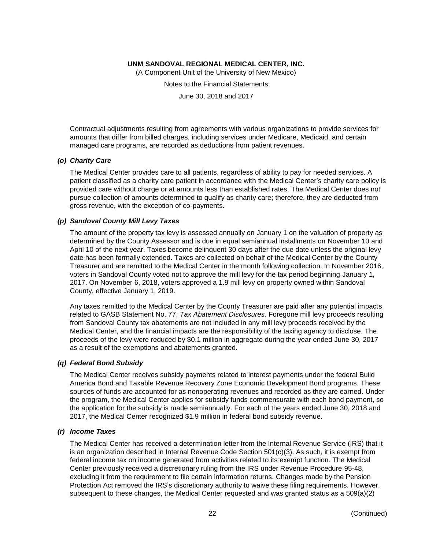(A Component Unit of the University of New Mexico)

Notes to the Financial Statements June 30, 2018 and 2017

Contractual adjustments resulting from agreements with various organizations to provide services for amounts that differ from billed charges, including services under Medicare, Medicaid, and certain managed care programs, are recorded as deductions from patient revenues.

#### *(o) Charity Care*

The Medical Center provides care to all patients, regardless of ability to pay for needed services. A patient classified as a charity care patient in accordance with the Medical Center's charity care policy is provided care without charge or at amounts less than established rates. The Medical Center does not pursue collection of amounts determined to qualify as charity care; therefore, they are deducted from gross revenue, with the exception of co-payments.

#### *(p) Sandoval County Mill Levy Taxes*

The amount of the property tax levy is assessed annually on January 1 on the valuation of property as determined by the County Assessor and is due in equal semiannual installments on November 10 and April 10 of the next year. Taxes become delinquent 30 days after the due date unless the original levy date has been formally extended. Taxes are collected on behalf of the Medical Center by the County Treasurer and are remitted to the Medical Center in the month following collection. In November 2016, voters in Sandoval County voted not to approve the mill levy for the tax period beginning January 1, 2017. On November 6, 2018, voters approved a 1.9 mill levy on property owned within Sandoval County, effective January 1, 2019.

Any taxes remitted to the Medical Center by the County Treasurer are paid after any potential impacts related to GASB Statement No. 77, *Tax Abatement Disclosures*. Foregone mill levy proceeds resulting from Sandoval County tax abatements are not included in any mill levy proceeds received by the Medical Center, and the financial impacts are the responsibility of the taxing agency to disclose. The proceeds of the levy were reduced by \$0.1 million in aggregate during the year ended June 30, 2017 as a result of the exemptions and abatements granted.

#### *(q) Federal Bond Subsidy*

The Medical Center receives subsidy payments related to interest payments under the federal Build America Bond and Taxable Revenue Recovery Zone Economic Development Bond programs. These sources of funds are accounted for as nonoperating revenues and recorded as they are earned. Under the program, the Medical Center applies for subsidy funds commensurate with each bond payment, so the application for the subsidy is made semiannually. For each of the years ended June 30, 2018 and 2017, the Medical Center recognized \$1.9 million in federal bond subsidy revenue.

# *(r) Income Taxes*

The Medical Center has received a determination letter from the Internal Revenue Service (IRS) that it is an organization described in Internal Revenue Code Section 501(c)(3). As such, it is exempt from federal income tax on income generated from activities related to its exempt function. The Medical Center previously received a discretionary ruling from the IRS under Revenue Procedure 95-48, excluding it from the requirement to file certain information returns. Changes made by the Pension Protection Act removed the IRS's discretionary authority to waive these filing requirements. However, subsequent to these changes, the Medical Center requested and was granted status as a 509(a)(2)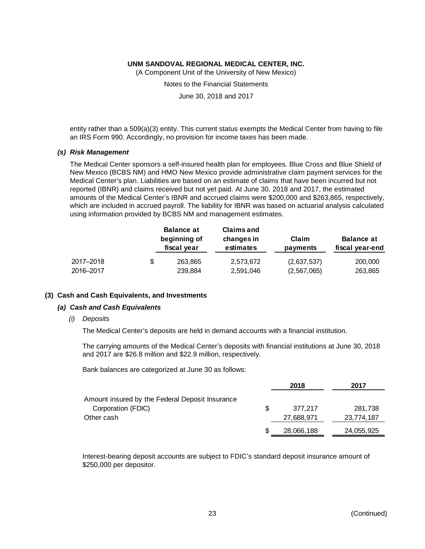(A Component Unit of the University of New Mexico)

Notes to the Financial Statements

June 30, 2018 and 2017

entity rather than a 509(a)(3) entity. This current status exempts the Medical Center from having to file an IRS Form 990. Accordingly, no provision for income taxes has been made.

#### *(s) Risk Management*

The Medical Center sponsors a self-insured health plan for employees. Blue Cross and Blue Shield of New Mexico (BCBS NM) and HMO New Mexico provide administrative claim payment services for the Medical Center's plan. Liabilities are based on an estimate of claims that have been incurred but not reported (IBNR) and claims received but not yet paid. At June 30, 2018 and 2017, the estimated amounts of the Medical Center's IBNR and accrued claims were \$200,000 and \$263,865, respectively, which are included in accrued payroll. The liability for IBNR was based on actuarial analysis calculated using information provided by BCBS NM and management estimates.

|           |  | <b>Balance at</b><br>beginning of<br>fiscal year | <b>Claims and</b><br>changes in<br>estimates | Claim<br>payments | <b>Balance at</b><br>fiscal year-end |  |
|-----------|--|--------------------------------------------------|----------------------------------------------|-------------------|--------------------------------------|--|
| 2017–2018 |  | 263.865                                          | 2,573,672                                    | (2,637,537)       | 200,000                              |  |
| 2016–2017 |  | 239,884                                          | 2,591,046                                    | (2,567,065)       | 263,865                              |  |

#### **(3) Cash and Cash Equivalents, and Investments**

#### *(a) Cash and Cash Equivalents*

*(i) Deposits*

The Medical Center's deposits are held in demand accounts with a financial institution.

The carrying amounts of the Medical Center's deposits with financial institutions at June 30, 2018 and 2017 are \$26.8 million and \$22.9 million, respectively.

Bank balances are categorized at June 30 as follows:

|                                                 | 2018       | 2017       |
|-------------------------------------------------|------------|------------|
| Amount insured by the Federal Deposit Insurance |            |            |
| Corporation (FDIC)                              | 377.217    | 281.738    |
| Other cash                                      | 27,688,971 | 23,774,187 |
|                                                 | 28,066,188 | 24,055,925 |

Interest-bearing deposit accounts are subject to FDIC's standard deposit insurance amount of \$250,000 per depositor.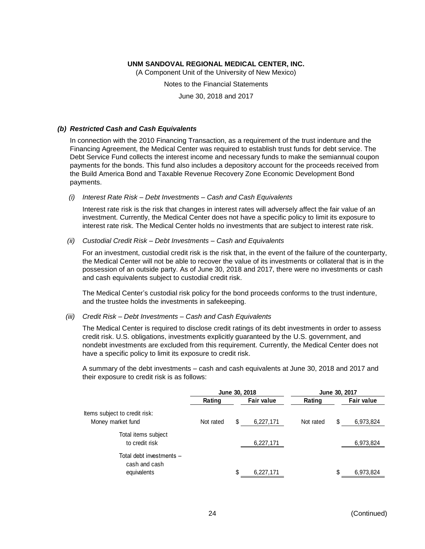(A Component Unit of the University of New Mexico)

Notes to the Financial Statements

June 30, 2018 and 2017

#### *(b) Restricted Cash and Cash Equivalents*

In connection with the 2010 Financing Transaction, as a requirement of the trust indenture and the Financing Agreement, the Medical Center was required to establish trust funds for debt service. The Debt Service Fund collects the interest income and necessary funds to make the semiannual coupon payments for the bonds. This fund also includes a depository account for the proceeds received from the Build America Bond and Taxable Revenue Recovery Zone Economic Development Bond payments.

*(i) Interest Rate Risk – Debt Investments – Cash and Cash Equivalents*

Interest rate risk is the risk that changes in interest rates will adversely affect the fair value of an investment. Currently, the Medical Center does not have a specific policy to limit its exposure to interest rate risk. The Medical Center holds no investments that are subject to interest rate risk.

*(ii) Custodial Credit Risk – Debt Investments – Cash and Equivalents*

For an investment, custodial credit risk is the risk that, in the event of the failure of the counterparty, the Medical Center will not be able to recover the value of its investments or collateral that is in the possession of an outside party. As of June 30, 2018 and 2017, there were no investments or cash and cash equivalents subject to custodial credit risk.

The Medical Center's custodial risk policy for the bond proceeds conforms to the trust indenture, and the trustee holds the investments in safekeeping.

#### *(iii) Credit Risk – Debt Investments – Cash and Cash Equivalents*

The Medical Center is required to disclose credit ratings of its debt investments in order to assess credit risk. U.S. obligations, investments explicitly guaranteed by the U.S. government, and nondebt investments are excluded from this requirement. Currently, the Medical Center does not have a specific policy to limit its exposure to credit risk.

A summary of the debt investments – cash and cash equivalents at June 30, 2018 and 2017 and their exposure to credit risk is as follows:

| June 30, 2018 |    |                   | June 30, 2017 |    |            |
|---------------|----|-------------------|---------------|----|------------|
| Rating        |    | <b>Fair value</b> | Rating        |    | Fair value |
|               |    |                   |               |    |            |
| Not rated     | \$ | 6,227,171         | Not rated     | \$ | 6,973,824  |
|               |    | 6,227,171         |               |    | 6,973,824  |
|               |    |                   |               |    |            |
|               | \$ | 6,227,171         |               |    | 6,973,824  |
|               |    |                   |               |    |            |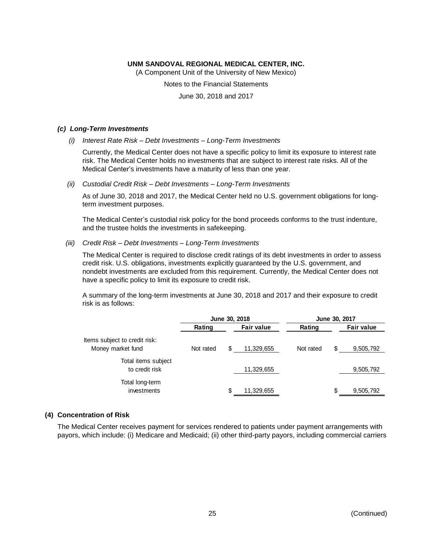(A Component Unit of the University of New Mexico)

Notes to the Financial Statements

June 30, 2018 and 2017

#### *(c) Long-Term Investments*

*(i) Interest Rate Risk – Debt Investments – Long-Term Investments*

Currently, the Medical Center does not have a specific policy to limit its exposure to interest rate risk. The Medical Center holds no investments that are subject to interest rate risks. All of the Medical Center's investments have a maturity of less than one year.

*(ii) Custodial Credit Risk – Debt Investments – Long-Term Investments*

As of June 30, 2018 and 2017, the Medical Center held no U.S. government obligations for longterm investment purposes.

The Medical Center's custodial risk policy for the bond proceeds conforms to the trust indenture, and the trustee holds the investments in safekeeping.

*(iii) Credit Risk – Debt Investments – Long-Term Investments*

The Medical Center is required to disclose credit ratings of its debt investments in order to assess credit risk. U.S. obligations, investments explicitly guaranteed by the U.S. government, and nondebt investments are excluded from this requirement. Currently, the Medical Center does not have a specific policy to limit its exposure to credit risk.

A summary of the long-term investments at June 30, 2018 and 2017 and their exposure to credit risk is as follows:

|                               | June 30, 2018 |    |                   | June 30, 2017 |    |                   |  |
|-------------------------------|---------------|----|-------------------|---------------|----|-------------------|--|
|                               | Rating        |    | <b>Fair value</b> | Rating        |    | <b>Fair value</b> |  |
| Items subject to credit risk: |               |    |                   |               |    |                   |  |
| Money market fund             | Not rated     | \$ | 11,329,655        | Not rated     | S  | 9,505,792         |  |
| Total items subject           |               |    |                   |               |    |                   |  |
| to credit risk                |               |    | 11,329,655        |               |    | 9,505,792         |  |
| Total long-term               |               |    |                   |               |    |                   |  |
| investments                   |               | \$ | 11,329,655        |               | \$ | 9,505,792         |  |

#### **(4) Concentration of Risk**

The Medical Center receives payment for services rendered to patients under payment arrangements with payors, which include: (i) Medicare and Medicaid; (ii) other third-party payors, including commercial carriers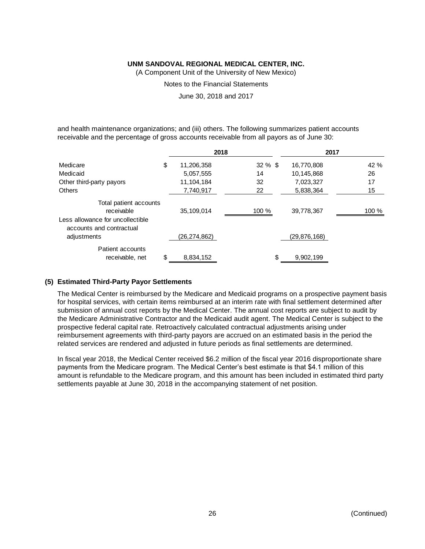(A Component Unit of the University of New Mexico)

Notes to the Financial Statements

June 30, 2018 and 2017

and health maintenance organizations; and (iii) others. The following summarizes patient accounts receivable and the percentage of gross accounts receivable from all payors as of June 30:

|                                                                          |                  | 2018       | 2017           |       |
|--------------------------------------------------------------------------|------------------|------------|----------------|-------|
| Medicare                                                                 | \$<br>11,206,358 | $32 \%$ \$ | 16,770,808     | 42 %  |
| Medicaid                                                                 | 5,057,555        | 14         | 10,145,868     | 26    |
| Other third-party payors                                                 | 11,104,184       | 32         | 7,023,327      | 17    |
| <b>Others</b>                                                            | 7,740,917        | 22         | 5,838,364      | 15    |
| Total patient accounts<br>receivable<br>Less allowance for uncollectible | 35,109,014       | 100 %      | 39,778,367     | 100 % |
| accounts and contractual<br>adjustments                                  | (26,274,862)     |            | (29, 876, 168) |       |
| Patient accounts<br>receivable, net                                      | \$<br>8,834,152  | \$         | 9,902,199      |       |

#### **(5) Estimated Third-Party Payor Settlements**

The Medical Center is reimbursed by the Medicare and Medicaid programs on a prospective payment basis for hospital services, with certain items reimbursed at an interim rate with final settlement determined after submission of annual cost reports by the Medical Center. The annual cost reports are subject to audit by the Medicare Administrative Contractor and the Medicaid audit agent. The Medical Center is subject to the prospective federal capital rate. Retroactively calculated contractual adjustments arising under reimbursement agreements with third-party payors are accrued on an estimated basis in the period the related services are rendered and adjusted in future periods as final settlements are determined.

In fiscal year 2018, the Medical Center received \$6.2 million of the fiscal year 2016 disproportionate share payments from the Medicare program. The Medical Center's best estimate is that \$4.1 million of this amount is refundable to the Medicare program, and this amount has been included in estimated third party settlements payable at June 30, 2018 in the accompanying statement of net position.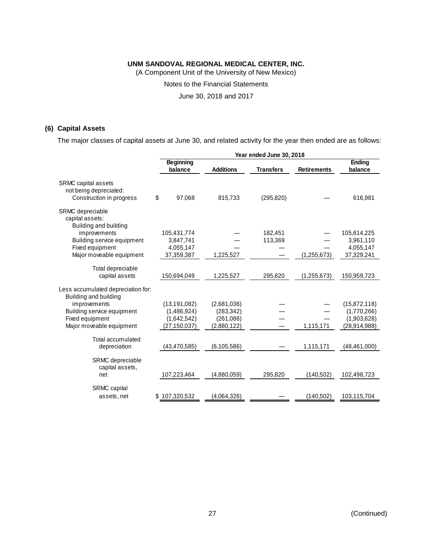(A Component Unit of the University of New Mexico)

Notes to the Financial Statements

June 30, 2018 and 2017

# **(6) Capital Assets**

The major classes of capital assets at June 30, and related activity for the year then ended are as follows:

|                                                                           | Year ended June 30, 2018    |                  |  |                  |  |                    |                          |  |
|---------------------------------------------------------------------------|-----------------------------|------------------|--|------------------|--|--------------------|--------------------------|--|
|                                                                           | <b>Beginning</b><br>balance | <b>Additions</b> |  | <b>Transfers</b> |  | <b>Retirements</b> | <b>Ending</b><br>balance |  |
| SRMC capital assets<br>not being depreciated:<br>Construction in progress | \$<br>97,068                | 815,733          |  | (295, 820)       |  |                    | 616,981                  |  |
| SRMC depreciable<br>capital assets:<br>Building and building              |                             |                  |  |                  |  |                    |                          |  |
| improvements                                                              | 105,431,774                 |                  |  | 182,451          |  |                    | 105,614,225              |  |
| Building service equipment                                                | 3,847,741                   |                  |  | 113,369          |  |                    | 3,961,110                |  |
| Fixed equipment                                                           | 4,055,147                   |                  |  |                  |  |                    | 4,055,147                |  |
| Major moveable equipment                                                  | 37,359,387                  | 1,225,527        |  |                  |  | (1,255,673)        | 37,329,241               |  |
| Total depreciable<br>capital assets                                       | 150,694,049                 | 1,225,527        |  | 295,820          |  | (1, 255, 673)      | 150,959,723              |  |
| Less accumulated depreciation for:<br>Building and building               |                             |                  |  |                  |  |                    |                          |  |
| improvements                                                              | (13, 191, 082)              | (2,681,036)      |  |                  |  |                    | (15,872,118)             |  |
| Building service equipment                                                | (1,486,924)                 | (283, 342)       |  |                  |  |                    | (1,770,266)              |  |
| Fixed equipment                                                           | (1,642,542)                 | (261,086)        |  |                  |  |                    | (1,903,628)              |  |
| Major moveable equipment                                                  | (27,150,037)                | (2,880,122)      |  |                  |  | 1,115,171          | (28, 914, 988)           |  |
| Total accumulated<br>depreciation                                         | (43, 470, 585)              | (6, 105, 586)    |  |                  |  | 1,115,171          | (48, 461, 000)           |  |
| SRMC depreciable<br>capital assets,<br>net                                | 107,223,464                 | (4,880,059)      |  | 295,820          |  | (140, 502)         | 102,498,723              |  |
|                                                                           |                             |                  |  |                  |  |                    |                          |  |
| SRMC capital<br>assets, net                                               | \$107,320,532               | (4,064,326)      |  |                  |  | (140, 502)         | 103,115,704              |  |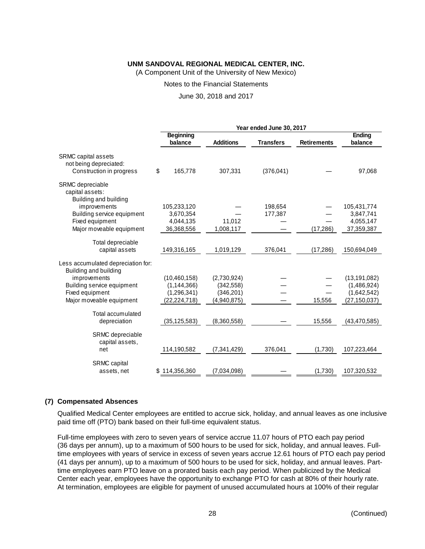(A Component Unit of the University of New Mexico)

#### Notes to the Financial Statements

June 30, 2018 and 2017

|                                                                           |                             | Year ended June 30, 2017 |                  |                    |                          |  |  |
|---------------------------------------------------------------------------|-----------------------------|--------------------------|------------------|--------------------|--------------------------|--|--|
|                                                                           | <b>Beginning</b><br>balance | <b>Additions</b>         | <b>Transfers</b> | <b>Retirements</b> | <b>Ending</b><br>balance |  |  |
| SRMC capital assets<br>not being depreciated:<br>Construction in progress | \$<br>165,778               | 307,331                  | (376, 041)       |                    | 97,068                   |  |  |
| SRMC depreciable<br>capital assets:<br>Building and building              |                             |                          |                  |                    |                          |  |  |
| improvements                                                              | 105,233,120                 |                          | 198,654          |                    | 105,431,774              |  |  |
| Building service equipment                                                | 3,670,354                   |                          | 177,387          |                    | 3,847,741                |  |  |
| Fixed equipment                                                           | 4,044,135                   | 11,012                   |                  |                    | 4,055,147                |  |  |
| Major moveable equipment                                                  | 36,368,556                  | 1,008,117                |                  | (17, 286)          | 37,359,387               |  |  |
| Total depreciable<br>capital assets                                       | 149,316,165                 | 1,019,129                | 376,041          | (17, 286)          | 150,694,049              |  |  |
| Less accumulated depreciation for:<br>Building and building               |                             |                          |                  |                    |                          |  |  |
| improvements                                                              | (10, 460, 158)              | (2,730,924)              |                  |                    | (13, 191, 082)           |  |  |
| Building service equipment                                                | (1, 144, 366)               | (342, 558)               |                  |                    | (1,486,924)              |  |  |
| Fixed equipment                                                           | (1,296,341)                 | (346, 201)               |                  |                    | (1,642,542)              |  |  |
| Major moveable equipment                                                  | (22, 224, 718)              | (4,940,875)              |                  | 15,556             | (27, 150, 037)           |  |  |
| Total accumulated                                                         |                             |                          |                  |                    |                          |  |  |
| depreciation                                                              | (35, 125, 583)              | (8,360,558)              |                  | 15,556             | (43, 470, 585)           |  |  |
| SRMC depreciable<br>capital assets,<br>net                                | 114,190,582                 | (7,341,429)              | 376,041          | (1,730)            | 107,223,464              |  |  |
| SRMC capital<br>assets, net                                               | \$114,356,360               | (7,034,098)              |                  | (1,730)            | 107,320,532              |  |  |

#### **(7) Compensated Absences**

Qualified Medical Center employees are entitled to accrue sick, holiday, and annual leaves as one inclusive paid time off (PTO) bank based on their full-time equivalent status.

Full-time employees with zero to seven years of service accrue 11.07 hours of PTO each pay period (36 days per annum), up to a maximum of 500 hours to be used for sick, holiday, and annual leaves. Fulltime employees with years of service in excess of seven years accrue 12.61 hours of PTO each pay period (41 days per annum), up to a maximum of 500 hours to be used for sick, holiday, and annual leaves. Parttime employees earn PTO leave on a prorated basis each pay period. When publicized by the Medical Center each year, employees have the opportunity to exchange PTO for cash at 80% of their hourly rate. At termination, employees are eligible for payment of unused accumulated hours at 100% of their regular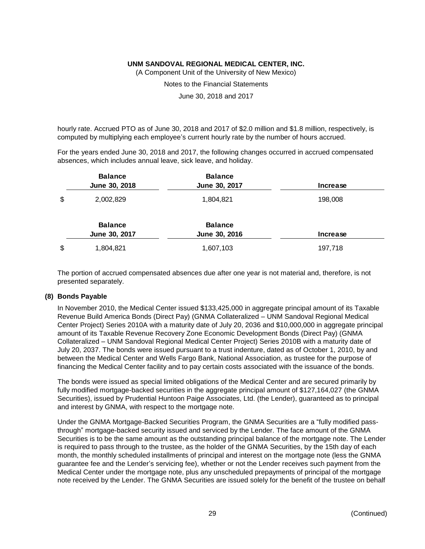(A Component Unit of the University of New Mexico)

Notes to the Financial Statements

June 30, 2018 and 2017

hourly rate. Accrued PTO as of June 30, 2018 and 2017 of \$2.0 million and \$1.8 million, respectively, is computed by multiplying each employee's current hourly rate by the number of hours accrued.

For the years ended June 30, 2018 and 2017, the following changes occurred in accrued compensated absences, which includes annual leave, sick leave, and holiday.

| <b>Balance</b><br>June 30, 2018 | <b>Balance</b><br>June 30, 2017 | Increase |
|---------------------------------|---------------------------------|----------|
| \$<br>2,002,829                 | 1,804,821                       | 198,008  |
| <b>Balance</b><br>June 30, 2017 | <b>Balance</b><br>June 30, 2016 | Increase |
| \$<br>1,804,821                 | 1,607,103                       | 197,718  |

The portion of accrued compensated absences due after one year is not material and, therefore, is not presented separately.

#### **(8) Bonds Payable**

In November 2010, the Medical Center issued \$133,425,000 in aggregate principal amount of its Taxable Revenue Build America Bonds (Direct Pay) (GNMA Collateralized – UNM Sandoval Regional Medical Center Project) Series 2010A with a maturity date of July 20, 2036 and \$10,000,000 in aggregate principal amount of its Taxable Revenue Recovery Zone Economic Development Bonds (Direct Pay) (GNMA Collateralized – UNM Sandoval Regional Medical Center Project) Series 2010B with a maturity date of July 20, 2037. The bonds were issued pursuant to a trust indenture, dated as of October 1, 2010, by and between the Medical Center and Wells Fargo Bank, National Association, as trustee for the purpose of financing the Medical Center facility and to pay certain costs associated with the issuance of the bonds.

The bonds were issued as special limited obligations of the Medical Center and are secured primarily by fully modified mortgage-backed securities in the aggregate principal amount of \$127,164,027 (the GNMA Securities), issued by Prudential Huntoon Paige Associates, Ltd. (the Lender), guaranteed as to principal and interest by GNMA, with respect to the mortgage note.

Under the GNMA Mortgage-Backed Securities Program, the GNMA Securities are a "fully modified passthrough" mortgage-backed security issued and serviced by the Lender. The face amount of the GNMA Securities is to be the same amount as the outstanding principal balance of the mortgage note. The Lender is required to pass through to the trustee, as the holder of the GNMA Securities, by the 15th day of each month, the monthly scheduled installments of principal and interest on the mortgage note (less the GNMA guarantee fee and the Lender's servicing fee), whether or not the Lender receives such payment from the Medical Center under the mortgage note, plus any unscheduled prepayments of principal of the mortgage note received by the Lender. The GNMA Securities are issued solely for the benefit of the trustee on behalf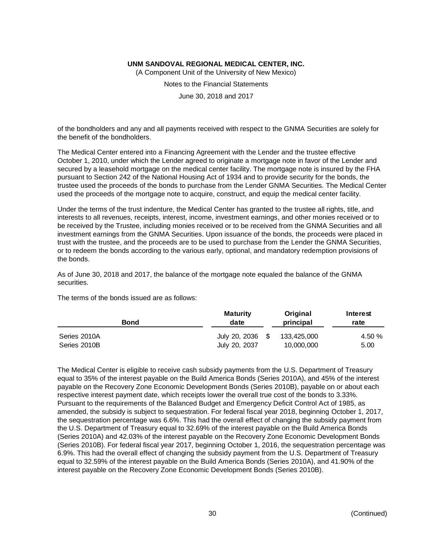(A Component Unit of the University of New Mexico)

Notes to the Financial Statements June 30, 2018 and 2017

of the bondholders and any and all payments received with respect to the GNMA Securities are solely for the benefit of the bondholders.

The Medical Center entered into a Financing Agreement with the Lender and the trustee effective October 1, 2010, under which the Lender agreed to originate a mortgage note in favor of the Lender and secured by a leasehold mortgage on the medical center facility. The mortgage note is insured by the FHA pursuant to Section 242 of the National Housing Act of 1934 and to provide security for the bonds, the trustee used the proceeds of the bonds to purchase from the Lender GNMA Securities. The Medical Center used the proceeds of the mortgage note to acquire, construct, and equip the medical center facility.

Under the terms of the trust indenture, the Medical Center has granted to the trustee all rights, title, and interests to all revenues, receipts, interest, income, investment earnings, and other monies received or to be received by the Trustee, including monies received or to be received from the GNMA Securities and all investment earnings from the GNMA Securities. Upon issuance of the bonds, the proceeds were placed in trust with the trustee, and the proceeds are to be used to purchase from the Lender the GNMA Securities, or to redeem the bonds according to the various early, optional, and mandatory redemption provisions of the bonds.

As of June 30, 2018 and 2017, the balance of the mortgage note equaled the balance of the GNMA securities.

The terms of the bonds issued are as follows:

| Bond         | Maturity<br>date | Original<br>principal | Interest<br>rate |
|--------------|------------------|-----------------------|------------------|
| Series 2010A | July 20, 2036    | 133,425,000           | 4.50 %           |
| Series 2010B | July 20, 2037    | 10,000,000            | 5.00             |

The Medical Center is eligible to receive cash subsidy payments from the U.S. Department of Treasury equal to 35% of the interest payable on the Build America Bonds (Series 2010A), and 45% of the interest payable on the Recovery Zone Economic Development Bonds (Series 2010B), payable on or about each respective interest payment date, which receipts lower the overall true cost of the bonds to 3.33%. Pursuant to the requirements of the Balanced Budget and Emergency Deficit Control Act of 1985, as amended, the subsidy is subject to sequestration. For federal fiscal year 2018, beginning October 1, 2017, the sequestration percentage was 6.6%. This had the overall effect of changing the subsidy payment from the U.S. Department of Treasury equal to 32.69% of the interest payable on the Build America Bonds (Series 2010A) and 42.03% of the interest payable on the Recovery Zone Economic Development Bonds (Series 2010B). For federal fiscal year 2017, beginning October 1, 2016, the sequestration percentage was 6.9%. This had the overall effect of changing the subsidy payment from the U.S. Department of Treasury equal to 32.59% of the interest payable on the Build America Bonds (Series 2010A), and 41.90% of the interest payable on the Recovery Zone Economic Development Bonds (Series 2010B).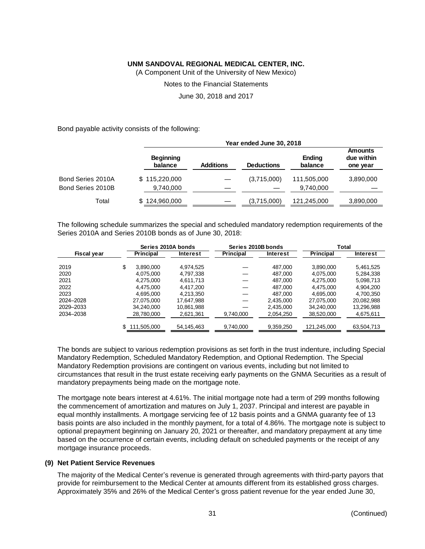(A Component Unit of the University of New Mexico)

Notes to the Financial Statements

June 30, 2018 and 2017

Bond payable activity consists of the following:

|                   |                             | Year ended June 30, 2018 |                   |                   |                                          |  |  |  |
|-------------------|-----------------------------|--------------------------|-------------------|-------------------|------------------------------------------|--|--|--|
|                   | <b>Beginning</b><br>balance | <b>Additions</b>         | <b>Deductions</b> | Ending<br>balance | <b>Amounts</b><br>due within<br>one year |  |  |  |
| Bond Series 2010A | \$115,220,000               |                          | (3,715,000)       | 111,505,000       | 3,890,000                                |  |  |  |
| Bond Series 2010B | 9,740,000                   |                          |                   | 9,740,000         |                                          |  |  |  |
| Total             | \$124,960,000               |                          | (3,715,000)       | 121,245,000       | 3,890,000                                |  |  |  |

The following schedule summarizes the special and scheduled mandatory redemption requirements of the Series 2010A and Series 2010B bonds as of June 30, 2018:

|                    | Series 2010A bonds |                 | Series 2010B bonds |                 | Total            |                 |  |
|--------------------|--------------------|-----------------|--------------------|-----------------|------------------|-----------------|--|
| <b>Fiscal year</b> | Principal          | <b>Interest</b> | <b>Principal</b>   | <b>Interest</b> | <b>Principal</b> | <b>Interest</b> |  |
| 2019               | 3,890,000          | 4,974,525       |                    | 487,000         | 3,890,000        | 5,461,525       |  |
| 2020               | 4,075,000          | 4,797,338       |                    | 487,000         | 4,075,000        | 5,284,338       |  |
| 2021               | 4,275,000          | 4.611.713       |                    | 487.000         | 4,275,000        | 5,098,713       |  |
| 2022               | 4,475,000          | 4,417,200       |                    | 487,000         | 4,475,000        | 4,904,200       |  |
| 2023               | 4.695.000          | 4.213.350       |                    | 487.000         | 4.695.000        | 4.700.350       |  |
| 2024-2028          | 27,075,000         | 17.647.988      |                    | 2,435,000       | 27,075,000       | 20,082,988      |  |
| 2029-2033          | 34.240.000         | 10,861,988      |                    | 2,435,000       | 34,240,000       | 13,296,988      |  |
| 2034-2038          | 28,780,000         | 2,621,361       | 9,740,000          | 2,054,250       | 38,520,000       | 4,675,611       |  |
|                    | 111,505,000        | 54,145,463      | 9,740,000          | 9,359,250       | 121,245,000      | 63,504,713      |  |

The bonds are subject to various redemption provisions as set forth in the trust indenture, including Special Mandatory Redemption, Scheduled Mandatory Redemption, and Optional Redemption. The Special Mandatory Redemption provisions are contingent on various events, including but not limited to circumstances that result in the trust estate receiving early payments on the GNMA Securities as a result of mandatory prepayments being made on the mortgage note.

The mortgage note bears interest at 4.61%. The initial mortgage note had a term of 299 months following the commencement of amortization and matures on July 1, 2037. Principal and interest are payable in equal monthly installments. A mortgage servicing fee of 12 basis points and a GNMA guaranty fee of 13 basis points are also included in the monthly payment, for a total of 4.86%. The mortgage note is subject to optional prepayment beginning on January 20, 2021 or thereafter, and mandatory prepayment at any time based on the occurrence of certain events, including default on scheduled payments or the receipt of any mortgage insurance proceeds.

#### **(9) Net Patient Service Revenues**

The majority of the Medical Center's revenue is generated through agreements with third-party payors that provide for reimbursement to the Medical Center at amounts different from its established gross charges. Approximately 35% and 26% of the Medical Center's gross patient revenue for the year ended June 30,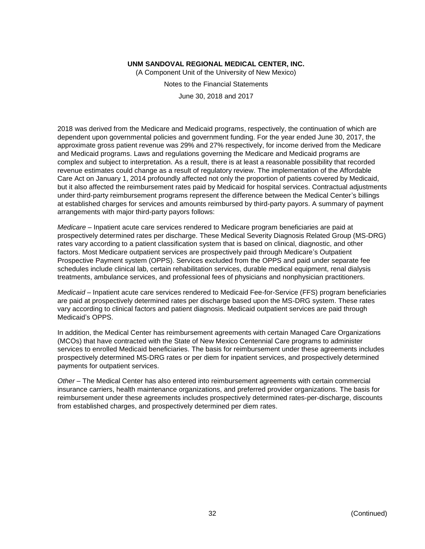(A Component Unit of the University of New Mexico)

Notes to the Financial Statements June 30, 2018 and 2017

2018 was derived from the Medicare and Medicaid programs, respectively, the continuation of which are dependent upon governmental policies and government funding. For the year ended June 30, 2017, the approximate gross patient revenue was 29% and 27% respectively, for income derived from the Medicare and Medicaid programs. Laws and regulations governing the Medicare and Medicaid programs are complex and subject to interpretation. As a result, there is at least a reasonable possibility that recorded revenue estimates could change as a result of regulatory review. The implementation of the Affordable Care Act on January 1, 2014 profoundly affected not only the proportion of patients covered by Medicaid, but it also affected the reimbursement rates paid by Medicaid for hospital services. Contractual adjustments under third-party reimbursement programs represent the difference between the Medical Center's billings at established charges for services and amounts reimbursed by third-party payors. A summary of payment arrangements with major third-party payors follows:

*Medicare* – Inpatient acute care services rendered to Medicare program beneficiaries are paid at prospectively determined rates per discharge. These Medical Severity Diagnosis Related Group (MS-DRG) rates vary according to a patient classification system that is based on clinical, diagnostic, and other factors. Most Medicare outpatient services are prospectively paid through Medicare's Outpatient Prospective Payment system (OPPS). Services excluded from the OPPS and paid under separate fee schedules include clinical lab, certain rehabilitation services, durable medical equipment, renal dialysis treatments, ambulance services, and professional fees of physicians and nonphysician practitioners.

*Medicaid* – Inpatient acute care services rendered to Medicaid Fee-for-Service (FFS) program beneficiaries are paid at prospectively determined rates per discharge based upon the MS-DRG system. These rates vary according to clinical factors and patient diagnosis. Medicaid outpatient services are paid through Medicaid's OPPS.

In addition, the Medical Center has reimbursement agreements with certain Managed Care Organizations (MCOs) that have contracted with the State of New Mexico Centennial Care programs to administer services to enrolled Medicaid beneficiaries. The basis for reimbursement under these agreements includes prospectively determined MS-DRG rates or per diem for inpatient services, and prospectively determined payments for outpatient services.

*Other* – The Medical Center has also entered into reimbursement agreements with certain commercial insurance carriers, health maintenance organizations, and preferred provider organizations. The basis for reimbursement under these agreements includes prospectively determined rates-per-discharge, discounts from established charges, and prospectively determined per diem rates.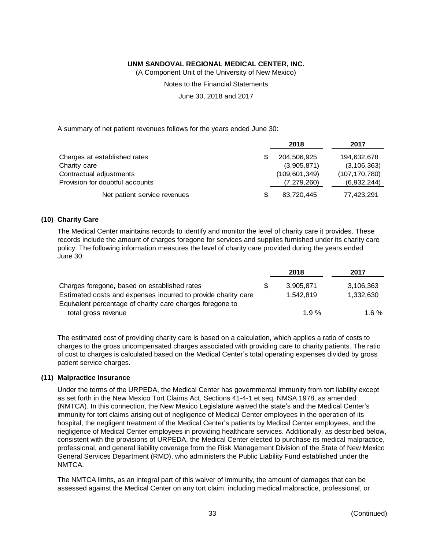(A Component Unit of the University of New Mexico)

Notes to the Financial Statements

June 30, 2018 and 2017

A summary of net patient revenues follows for the years ended June 30:

|                                 | 2018            | 2017            |
|---------------------------------|-----------------|-----------------|
| Charges at established rates    | 204.506.925     | 194,632,678     |
| Charity care                    | (3,905,871)     | (3, 106, 363)   |
| Contractual adjustments         | (109, 601, 349) | (107, 170, 780) |
| Provision for doubtful accounts | (7, 279, 260)   | (6,932,244)     |
| Net patient service revenues    | 83,720,445      | 77,423,291      |

#### **(10) Charity Care**

The Medical Center maintains records to identify and monitor the level of charity care it provides. These records include the amount of charges foregone for services and supplies furnished under its charity care policy. The following information measures the level of charity care provided during the years ended June 30:

|                                                               | 2018      | 2017      |
|---------------------------------------------------------------|-----------|-----------|
| Charges foregone, based on established rates                  | 3.905.871 | 3,106,363 |
| Estimated costs and expenses incurred to provide charity care | 1.542.819 | 1.332.630 |
| Equivalent percentage of charity care charges foregone to     |           |           |
| total gross revenue                                           | 1.9%      | $1.6\%$   |

The estimated cost of providing charity care is based on a calculation, which applies a ratio of costs to charges to the gross uncompensated charges associated with providing care to charity patients. The ratio of cost to charges is calculated based on the Medical Center's total operating expenses divided by gross patient service charges.

#### **(11) Malpractice Insurance**

Under the terms of the URPEDA, the Medical Center has governmental immunity from tort liability except as set forth in the New Mexico Tort Claims Act, Sections 41-4-1 et seq. NMSA 1978, as amended (NMTCA). In this connection, the New Mexico Legislature waived the state's and the Medical Center's immunity for tort claims arising out of negligence of Medical Center employees in the operation of its hospital, the negligent treatment of the Medical Center's patients by Medical Center employees, and the negligence of Medical Center employees in providing healthcare services. Additionally, as described below, consistent with the provisions of URPEDA, the Medical Center elected to purchase its medical malpractice, professional, and general liability coverage from the Risk Management Division of the State of New Mexico General Services Department (RMD), who administers the Public Liability Fund established under the NMTCA.

The NMTCA limits, as an integral part of this waiver of immunity, the amount of damages that can be assessed against the Medical Center on any tort claim, including medical malpractice, professional, or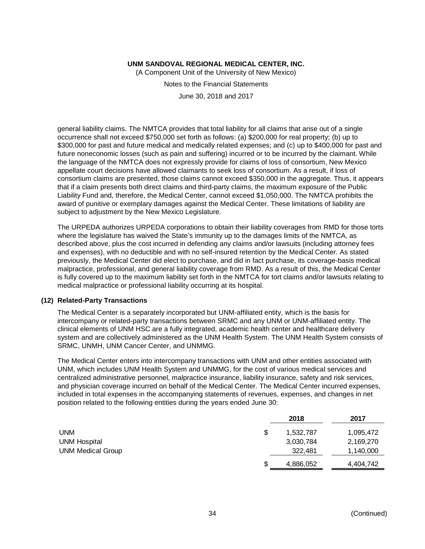(A Component Unit of the University of New Mexico)

Notes to the Financial Statements June 30, 2018 and 2017

general liability claims. The NMTCA provides that total liability for all claims that arise out of a single occurrence shall not exceed \$750,000 set forth as follows: (a) \$200,000 for real property; (b) up to \$300,000 for past and future medical and medically related expenses; and (c) up to \$400,000 for past and future noneconomic losses (such as pain and suffering) incurred or to be incurred by the claimant. While the language of the NMTCA does not expressly provide for claims of loss of consortium, New Mexico appellate court decisions have allowed claimants to seek loss of consortium. As a result, if loss of consortium claims are presented, those claims cannot exceed \$350,000 in the aggregate. Thus, it appears that if a claim presents both direct claims and third-party claims, the maximum exposure of the Public Liability Fund and, therefore, the Medical Center, cannot exceed \$1,050,000. The NMTCA prohibits the award of punitive or exemplary damages against the Medical Center. These limitations of liability are subject to adjustment by the New Mexico Legislature.

The URPEDA authorizes URPEDA corporations to obtain their liability coverages from RMD for those torts where the legislature has waived the State's immunity up to the damages limits of the NMTCA, as described above, plus the cost incurred in defending any claims and/or lawsuits (including attorney fees and expenses), with no deductible and with no self-insured retention by the Medical Center. As stated previously, the Medical Center did elect to purchase, and did in fact purchase, its coverage-basis medical malpractice, professional, and general liability coverage from RMD. As a result of this, the Medical Center is fully covered up to the maximum liability set forth in the NMTCA for tort claims and/or lawsuits relating to medical malpractice or professional liability occurring at its hospital.

#### **(12) Related-Party Transactions**

The Medical Center is a separately incorporated but UNM-affiliated entity, which is the basis for intercompany or related-party transactions between SRMC and any UNM or UNM-affiliated entity. The clinical elements of UNM HSC are a fully integrated, academic health center and healthcare delivery system and are collectively administered as the UNM Health System. The UNM Health System consists of SRMC, UNMH, UNM Cancer Center, and UNMMG.

The Medical Center enters into intercompany transactions with UNM and other entities associated with UNM, which includes UNM Health System and UNMMG, for the cost of various medical services and centralized administrative personnel, malpractice insurance, liability insurance, safety and risk services, and physician coverage incurred on behalf of the Medical Center. The Medical Center incurred expenses, included in total expenses in the accompanying statements of revenues, expenses, and changes in net position related to the following entities during the years ended June 30:

|                          | 2018            | 2017      |
|--------------------------|-----------------|-----------|
| unm                      | \$<br>1,532,787 | 1,095,472 |
| <b>UNM Hospital</b>      | 3,030,784       | 2,169,270 |
| <b>UNM Medical Group</b> | 322,481         | 1,140,000 |
|                          | \$<br>4,886,052 | 4,404,742 |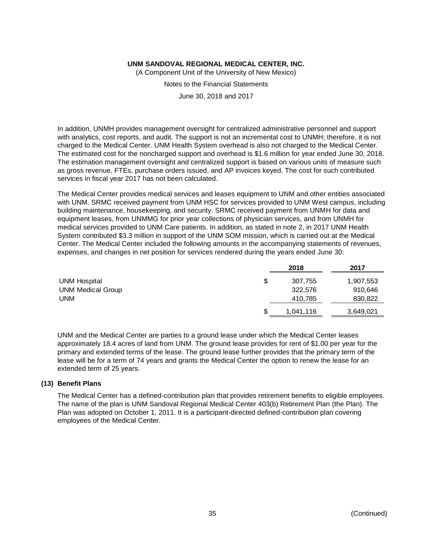(A Component Unit of the University of New Mexico)

Notes to the Financial Statements

June 30, 2018 and 2017

In addition, UNMH provides management oversight for centralized administrative personnel and support with analytics, cost reports, and audit. The support is not an incremental cost to UNMH; therefore, it is not charged to the Medical Center. UNM Health System overhead is also not charged to the Medical Center. The estimated cost for the noncharged support and overhead is \$1.6 million for year ended June 30, 2018. The estimation management oversight and centralized support is based on various units of measure such as gross revenue, FTEs, purchase orders issued, and AP invoices keyed. The cost for such contributed services in fiscal year 2017 has not been calculated.

The Medical Center provides medical services and leases equipment to UNM and other entities associated with UNM. SRMC received payment from UNM HSC for services provided to UNM West campus, including building maintenance, housekeeping, and security. SRMC received payment from UNMH for data and equipment leases, from UNMMG for prior year collections of physician services, and from UNMH for medical services provided to UNM Care patients. In addition, as stated in note 2, in 2017 UNM Health System contributed \$3.3 million in support of the UNM SOM mission, which is carried out at the Medical Center. The Medical Center included the following amounts in the accompanying statements of revenues, expenses, and changes in net position for services rendered during the years ended June 30:

|                          |     | 2018      | 2017      |
|--------------------------|-----|-----------|-----------|
| <b>UNM Hospital</b>      | \$  | 307,755   | 1,907,553 |
| <b>UNM Medical Group</b> |     | 322,576   | 910,646   |
| <b>UNM</b>               |     | 410,785   | 830,822   |
|                          | \$. | 1,041,116 | 3,649,021 |

UNM and the Medical Center are parties to a ground lease under which the Medical Center leases approximately 18.4 acres of land from UNM. The ground lease provides for rent of \$1.00 per year for the primary and extended terms of the lease. The ground lease further provides that the primary term of the lease will be for a term of 74 years and grants the Medical Center the option to renew the lease for an extended term of 25 years.

#### **(13) Benefit Plans**

The Medical Center has a defined-contribution plan that provides retirement benefits to eligible employees. The name of the plan is UNM Sandoval Regional Medical Center 403(b) Retirement Plan (the Plan). The Plan was adopted on October 1, 2011. It is a participant-directed defined-contribution plan covering employees of the Medical Center.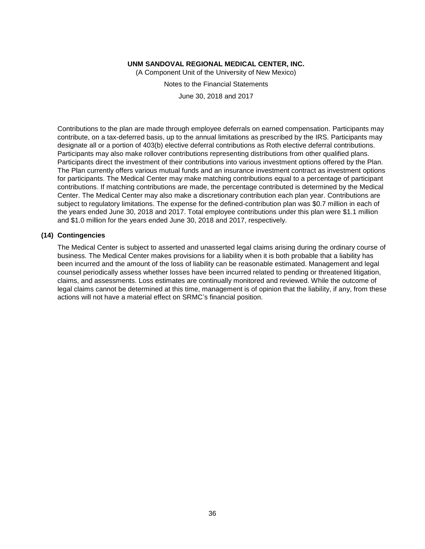(A Component Unit of the University of New Mexico)

Notes to the Financial Statements June 30, 2018 and 2017

Contributions to the plan are made through employee deferrals on earned compensation. Participants may contribute, on a tax-deferred basis, up to the annual limitations as prescribed by the IRS. Participants may designate all or a portion of 403(b) elective deferral contributions as Roth elective deferral contributions. Participants may also make rollover contributions representing distributions from other qualified plans. Participants direct the investment of their contributions into various investment options offered by the Plan. The Plan currently offers various mutual funds and an insurance investment contract as investment options for participants. The Medical Center may make matching contributions equal to a percentage of participant contributions. If matching contributions are made, the percentage contributed is determined by the Medical Center. The Medical Center may also make a discretionary contribution each plan year. Contributions are subject to regulatory limitations. The expense for the defined-contribution plan was \$0.7 million in each of the years ended June 30, 2018 and 2017. Total employee contributions under this plan were \$1.1 million and \$1.0 million for the years ended June 30, 2018 and 2017, respectively.

#### **(14) Contingencies**

The Medical Center is subject to asserted and unasserted legal claims arising during the ordinary course of business. The Medical Center makes provisions for a liability when it is both probable that a liability has been incurred and the amount of the loss of liability can be reasonable estimated. Management and legal counsel periodically assess whether losses have been incurred related to pending or threatened litigation, claims, and assessments. Loss estimates are continually monitored and reviewed. While the outcome of legal claims cannot be determined at this time, management is of opinion that the liability, if any, from these actions will not have a material effect on SRMC's financial position.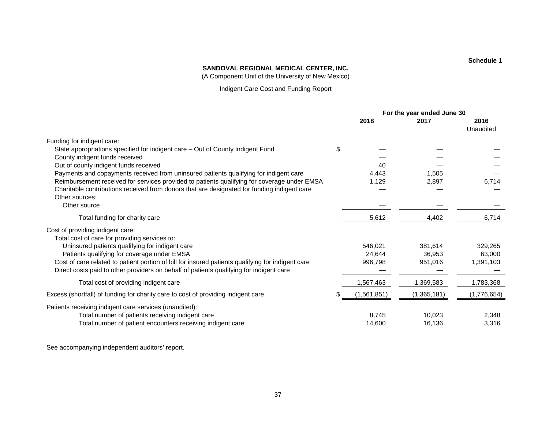**Schedule 1**

(A Component Unit of the University of New Mexico)

Indigent Care Cost and Funding Report

|                                                                                                               | For the year ended June 30 |             |             |
|---------------------------------------------------------------------------------------------------------------|----------------------------|-------------|-------------|
|                                                                                                               | 2018                       | 2017        | 2016        |
|                                                                                                               |                            |             | Unaudited   |
| Funding for indigent care:                                                                                    |                            |             |             |
| State appropriations specified for indigent care - Out of County Indigent Fund                                | \$                         |             |             |
| County indigent funds received                                                                                |                            |             |             |
| Out of county indigent funds received                                                                         | 40                         |             |             |
| Payments and copayments received from uninsured patients qualifying for indigent care                         | 4,443                      | 1,505       |             |
| Reimbursement received for services provided to patients qualifying for coverage under EMSA                   | 1,129                      | 2,897       | 6.714       |
| Charitable contributions received from donors that are designated for funding indigent care<br>Other sources: |                            |             |             |
| Other source                                                                                                  |                            |             |             |
| Total funding for charity care                                                                                | 5,612                      | 4,402       | 6,714       |
| Cost of providing indigent care:                                                                              |                            |             |             |
| Total cost of care for providing services to:                                                                 |                            |             |             |
| Uninsured patients qualifying for indigent care                                                               | 546,021                    | 381,614     | 329,265     |
| Patients qualifying for coverage under EMSA                                                                   | 24,644                     | 36,953      | 63,000      |
| Cost of care related to patient portion of bill for insured patients qualifying for indigent care             | 996,798                    | 951,016     | 1,391,103   |
| Direct costs paid to other providers on behalf of patients qualifying for indigent care                       |                            |             |             |
| Total cost of providing indigent care                                                                         | 1,567,463                  | 1,369,583   | 1,783,368   |
| Excess (shortfall) of funding for charity care to cost of providing indigent care                             | (1,561,851)                | (1,365,181) | (1,776,654) |
| Patients receiving indigent care services (unaudited):                                                        |                            |             |             |
| Total number of patients receiving indigent care                                                              | 8,745                      | 10,023      | 2,348       |
| Total number of patient encounters receiving indigent care                                                    | 14,600                     | 16,136      | 3,316       |

See accompanying independent auditors' report.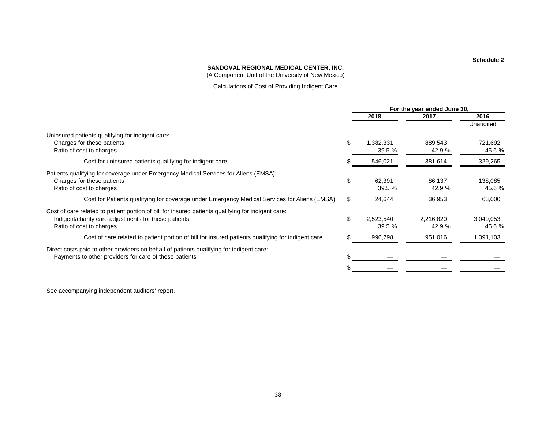**Schedule 2**

(A Component Unit of the University of New Mexico)

Calculations of Cost of Providing Indigent Care

|                                                                                                                                                                                        | For the year ended June 30, |                     |                     |
|----------------------------------------------------------------------------------------------------------------------------------------------------------------------------------------|-----------------------------|---------------------|---------------------|
|                                                                                                                                                                                        | 2018                        | 2017                | 2016<br>Unaudited   |
| Uninsured patients qualifying for indigent care:<br>Charges for these patients<br>Ratio of cost to charges                                                                             | \$<br>1,382,331<br>39.5 %   | 889,543<br>42.9 %   | 721,692<br>45.6 %   |
| Cost for uninsured patients qualifying for indigent care                                                                                                                               | 546,021                     | 381,614             | 329,265             |
| Patients qualifying for coverage under Emergency Medical Services for Aliens (EMSA):<br>Charges for these patients<br>Ratio of cost to charges                                         | \$<br>62,391<br>39.5 %      | 86,137<br>42.9 %    | 138,085<br>45.6 %   |
| Cost for Patients qualifying for coverage under Emergency Medical Services for Aliens (EMSA)                                                                                           | 24,644                      | 36,953              | 63,000              |
| Cost of care related to patient portion of bill for insured patients qualifying for indigent care:<br>Indigent/charity care adjustments for these patients<br>Ratio of cost to charges | \$<br>2,523,540<br>39.5%    | 2,216,820<br>42.9 % | 3,049,053<br>45.6 % |
| Cost of care related to patient portion of bill for insured patients qualifying for indigent care                                                                                      | 996,798                     | 951,016             | 1,391,103           |
| Direct costs paid to other providers on behalf of patients qualifying for indigent care:<br>Payments to other providers for care of these patients                                     |                             |                     |                     |

See accompanying independent auditors' report.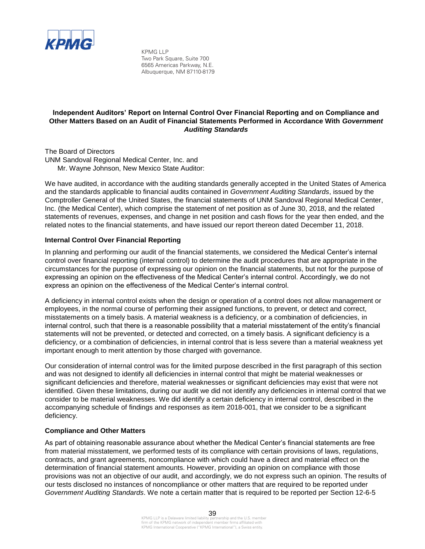

KPMG LLP Two Park Square, Suite 700 6565 Americas Parkway, N.E. Albuquerque, NM 87110-8179

# **Independent Auditors' Report on Internal Control Over Financial Reporting and on Compliance and Other Matters Based on an Audit of Financial Statements Performed in Accordance With** *Government Auditing Standards*

The Board of Directors UNM Sandoval Regional Medical Center, Inc. and Mr. Wayne Johnson, New Mexico State Auditor:

We have audited, in accordance with the auditing standards generally accepted in the United States of America and the standards applicable to financial audits contained in *Government Auditing Standards*, issued by the Comptroller General of the United States, the financial statements of UNM Sandoval Regional Medical Center, Inc. (the Medical Center), which comprise the statement of net position as of June 30, 2018, and the related statements of revenues, expenses, and change in net position and cash flows for the year then ended, and the related notes to the financial statements, and have issued our report thereon dated December 11, 2018.

# **Internal Control Over Financial Reporting**

In planning and performing our audit of the financial statements, we considered the Medical Center's internal control over financial reporting (internal control) to determine the audit procedures that are appropriate in the circumstances for the purpose of expressing our opinion on the financial statements, but not for the purpose of expressing an opinion on the effectiveness of the Medical Center's internal control. Accordingly, we do not express an opinion on the effectiveness of the Medical Center's internal control.

A deficiency in internal control exists when the design or operation of a control does not allow management or employees, in the normal course of performing their assigned functions, to prevent, or detect and correct, misstatements on a timely basis. A material weakness is a deficiency, or a combination of deficiencies, in internal control, such that there is a reasonable possibility that a material misstatement of the entity's financial statements will not be prevented, or detected and corrected, on a timely basis. A significant deficiency is a deficiency, or a combination of deficiencies, in internal control that is less severe than a material weakness yet important enough to merit attention by those charged with governance.

Our consideration of internal control was for the limited purpose described in the first paragraph of this section and was not designed to identify all deficiencies in internal control that might be material weaknesses or significant deficiencies and therefore, material weaknesses or significant deficiencies may exist that were not identified. Given these limitations, during our audit we did not identify any deficiencies in internal control that we consider to be material weaknesses. We did identify a certain deficiency in internal control, described in the accompanying schedule of findings and responses as item 2018-001, that we consider to be a significant deficiency.

#### **Compliance and Other Matters**

As part of obtaining reasonable assurance about whether the Medical Center's financial statements are free from material misstatement, we performed tests of its compliance with certain provisions of laws, regulations, contracts, and grant agreements, noncompliance with which could have a direct and material effect on the determination of financial statement amounts. However, providing an opinion on compliance with those provisions was not an objective of our audit, and accordingly, we do not express such an opinion. The results of our tests disclosed no instances of noncompliance or other matters that are required to be reported under *Government Auditing Standards*. We note a certain matter that is required to be reported per Section 12-6-5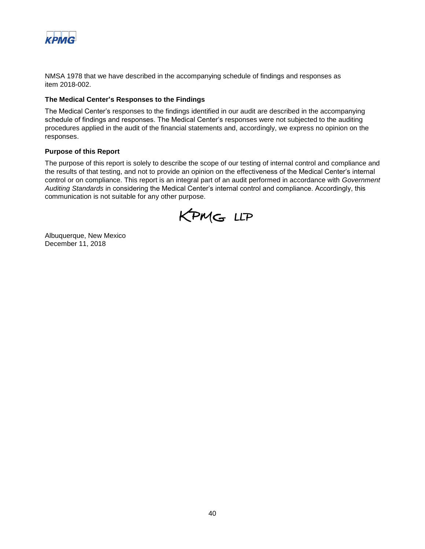

NMSA 1978 that we have described in the accompanying schedule of findings and responses as item 2018-002.

# **The Medical Center's Responses to the Findings**

The Medical Center's responses to the findings identified in our audit are described in the accompanying schedule of findings and responses. The Medical Center's responses were not subjected to the auditing procedures applied in the audit of the financial statements and, accordingly, we express no opinion on the responses.

#### **Purpose of this Report**

The purpose of this report is solely to describe the scope of our testing of internal control and compliance and the results of that testing, and not to provide an opinion on the effectiveness of the Medical Center's internal control or on compliance. This report is an integral part of an audit performed in accordance with *Government Auditing Standards* in considering the Medical Center's internal control and compliance. Accordingly, this communication is not suitable for any other purpose.



Albuquerque, New Mexico December 11, 2018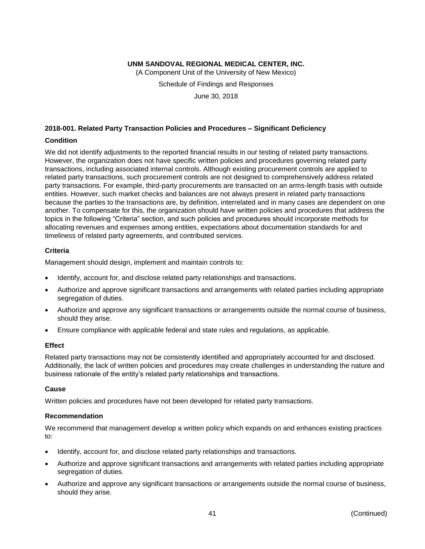(A Component Unit of the University of New Mexico)

Schedule of Findings and Responses

June 30, 2018

# **2018-001. Related Party Transaction Policies and Procedures – Significant Deficiency**

#### **Condition**

We did not identify adjustments to the reported financial results in our testing of related party transactions. However, the organization does not have specific written policies and procedures governing related party transactions, including associated internal controls. Although existing procurement controls are applied to related party transactions, such procurement controls are not designed to comprehensively address related party transactions. For example, third-party procurements are transacted on an arms-length basis with outside entities. However, such market checks and balances are not always present in related party transactions because the parties to the transactions are, by definition, interrelated and in many cases are dependent on one another. To compensate for this, the organization should have written policies and procedures that address the topics in the following "Criteria" section, and such policies and procedures should incorporate methods for allocating revenues and expenses among entities, expectations about documentation standards for and timeliness of related party agreements, and contributed services.

# **Criteria**

Management should design, implement and maintain controls to:

- Identify, account for, and disclose related party relationships and transactions.
- Authorize and approve significant transactions and arrangements with related parties including appropriate segregation of duties.
- Authorize and approve any significant transactions or arrangements outside the normal course of business, should they arise.
- Ensure compliance with applicable federal and state rules and regulations, as applicable.

#### **Effect**

Related party transactions may not be consistently identified and appropriately accounted for and disclosed. Additionally, the lack of written policies and procedures may create challenges in understanding the nature and business rationale of the entity's related party relationships and transactions.

#### **Cause**

Written policies and procedures have not been developed for related party transactions.

#### **Recommendation**

We recommend that management develop a written policy which expands on and enhances existing practices to:

- Identify, account for, and disclose related party relationships and transactions.
- Authorize and approve significant transactions and arrangements with related parties including appropriate segregation of duties.
- Authorize and approve any significant transactions or arrangements outside the normal course of business, should they arise.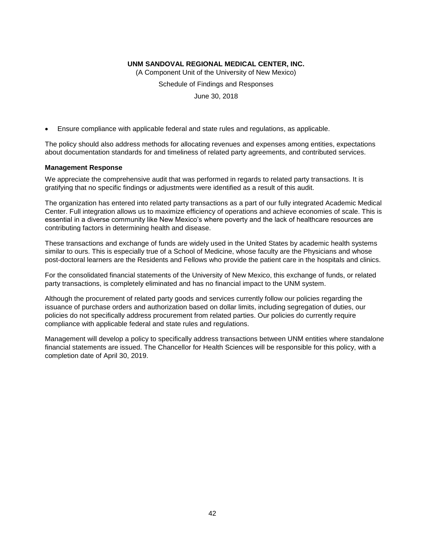(A Component Unit of the University of New Mexico)

Schedule of Findings and Responses

June 30, 2018

Ensure compliance with applicable federal and state rules and regulations, as applicable.

The policy should also address methods for allocating revenues and expenses among entities, expectations about documentation standards for and timeliness of related party agreements, and contributed services.

#### **Management Response**

We appreciate the comprehensive audit that was performed in regards to related party transactions. It is gratifying that no specific findings or adjustments were identified as a result of this audit.

The organization has entered into related party transactions as a part of our fully integrated Academic Medical Center. Full integration allows us to maximize efficiency of operations and achieve economies of scale. This is essential in a diverse community like New Mexico's where poverty and the lack of healthcare resources are contributing factors in determining health and disease.

These transactions and exchange of funds are widely used in the United States by academic health systems similar to ours. This is especially true of a School of Medicine, whose faculty are the Physicians and whose post-doctoral learners are the Residents and Fellows who provide the patient care in the hospitals and clinics.

For the consolidated financial statements of the University of New Mexico, this exchange of funds, or related party transactions, is completely eliminated and has no financial impact to the UNM system.

Although the procurement of related party goods and services currently follow our policies regarding the issuance of purchase orders and authorization based on dollar limits, including segregation of duties, our policies do not specifically address procurement from related parties. Our policies do currently require compliance with applicable federal and state rules and regulations.

Management will develop a policy to specifically address transactions between UNM entities where standalone financial statements are issued. The Chancellor for Health Sciences will be responsible for this policy, with a completion date of April 30, 2019.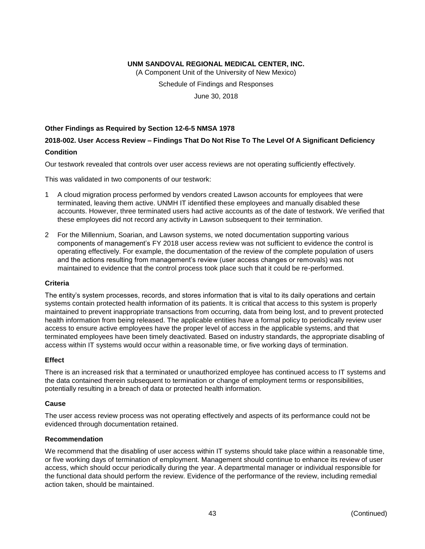(A Component Unit of the University of New Mexico)

Schedule of Findings and Responses

June 30, 2018

# **Other Findings as Required by Section 12-6-5 NMSA 1978**

# **2018-002. User Access Review – Findings That Do Not Rise To The Level Of A Significant Deficiency Condition**

Our testwork revealed that controls over user access reviews are not operating sufficiently effectively.

This was validated in two components of our testwork:

- 1 A cloud migration process performed by vendors created Lawson accounts for employees that were terminated, leaving them active. UNMH IT identified these employees and manually disabled these accounts. However, three terminated users had active accounts as of the date of testwork. We verified that these employees did not record any activity in Lawson subsequent to their termination.
- 2 For the Millennium, Soarian, and Lawson systems, we noted documentation supporting various components of management's FY 2018 user access review was not sufficient to evidence the control is operating effectively. For example, the documentation of the review of the complete population of users and the actions resulting from management's review (user access changes or removals) was not maintained to evidence that the control process took place such that it could be re-performed.

# **Criteria**

The entity's system processes, records, and stores information that is vital to its daily operations and certain systems contain protected health information of its patients. It is critical that access to this system is properly maintained to prevent inappropriate transactions from occurring, data from being lost, and to prevent protected health information from being released. The applicable entities have a formal policy to periodically review user access to ensure active employees have the proper level of access in the applicable systems, and that terminated employees have been timely deactivated. Based on industry standards, the appropriate disabling of access within IT systems would occur within a reasonable time, or five working days of termination.

#### **Effect**

There is an increased risk that a terminated or unauthorized employee has continued access to IT systems and the data contained therein subsequent to termination or change of employment terms or responsibilities, potentially resulting in a breach of data or protected health information.

#### **Cause**

The user access review process was not operating effectively and aspects of its performance could not be evidenced through documentation retained.

#### **Recommendation**

We recommend that the disabling of user access within IT systems should take place within a reasonable time, or five working days of termination of employment. Management should continue to enhance its review of user access, which should occur periodically during the year. A departmental manager or individual responsible for the functional data should perform the review. Evidence of the performance of the review, including remedial action taken, should be maintained.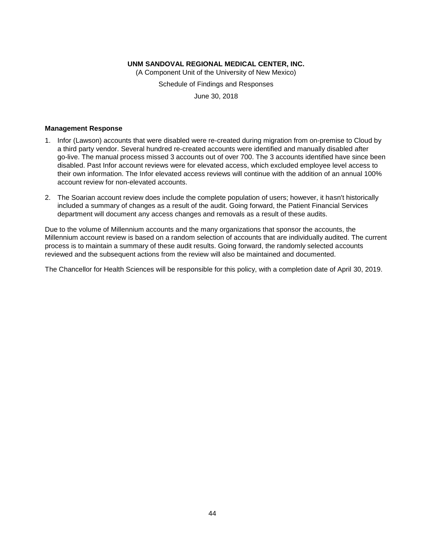(A Component Unit of the University of New Mexico)

Schedule of Findings and Responses June 30, 2018

#### **Management Response**

- 1. Infor (Lawson) accounts that were disabled were re-created during migration from on-premise to Cloud by a third party vendor. Several hundred re-created accounts were identified and manually disabled after go-live. The manual process missed 3 accounts out of over 700. The 3 accounts identified have since been disabled. Past Infor account reviews were for elevated access, which excluded employee level access to their own information. The Infor elevated access reviews will continue with the addition of an annual 100% account review for non-elevated accounts.
- 2. The Soarian account review does include the complete population of users; however, it hasn't historically included a summary of changes as a result of the audit. Going forward, the Patient Financial Services department will document any access changes and removals as a result of these audits.

Due to the volume of Millennium accounts and the many organizations that sponsor the accounts, the Millennium account review is based on a random selection of accounts that are individually audited. The current process is to maintain a summary of these audit results. Going forward, the randomly selected accounts reviewed and the subsequent actions from the review will also be maintained and documented.

The Chancellor for Health Sciences will be responsible for this policy, with a completion date of April 30, 2019.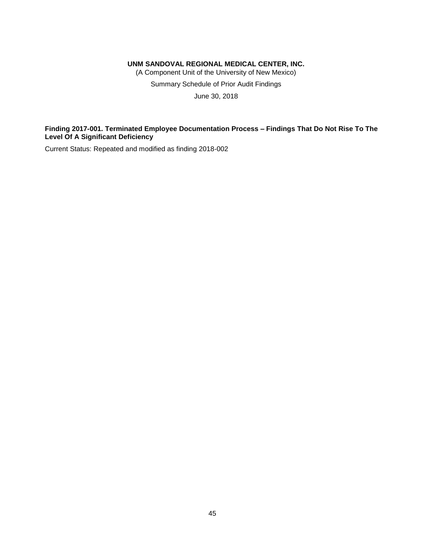(A Component Unit of the University of New Mexico)

Summary Schedule of Prior Audit Findings

June 30, 2018

# **Finding 2017-001. Terminated Employee Documentation Process – Findings That Do Not Rise To The Level Of A Significant Deficiency**

Current Status: Repeated and modified as finding 2018-002